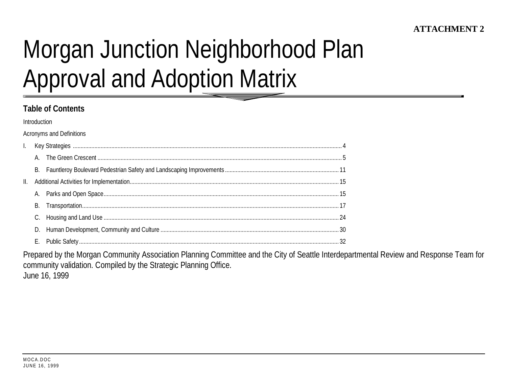# Morgan Junction Neighborhood Plan **Approval and Adoption Matrix**

## **Table of Contents**

Introduction

**Acronyms and Definitions** 

Prepared by the Morgan Community Association Planning Committee and the City of Seattle Interdepartmental Review and Response Team for community validation. Compiled by the Strategic Planning Office. June 16, 1999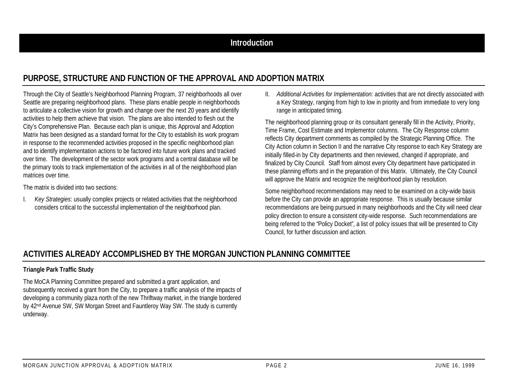## **Introduction**

# **PURPOSE, STRUCTURE AND FUNCTION OF THE APPROVAL AND ADOPTION MATRIX**

Through the City of Seattle's Neighborhood Planning Program, 37 neighborhoods all over Seattle are preparing neighborhood plans. These plans enable people in neighborhoods to articulate a collective vision for growth and change over the next 20 years and identify activities to help them achieve that vision. The plans are also intended to flesh out the City's Comprehensive Plan. Because each plan is unique, this Approval and Adoption Matrix has been designed as a standard format for the City to establish its work program in response to the recommended activities proposed in the specific neighborhood plan and to identify implementation actions to be factored into future work plans and tracked over time. The development of the sector work programs and a central database will be the primary tools to track implementation of the activities in all of the neighborhood plan matrices over time.

The matrix is divided into two sections:

I. *Key Strategies*: usually complex projects or related activities that the neighborhood considers critical to the successful implementation of the neighborhood plan.

II. *Additional Activities for Implementation:* activities that are not directly associated with a Key Strategy, ranging from high to low in priority and from immediate to very long range in anticipated timing.

The neighborhood planning group or its consultant generally fill in the Activity, Priority, Time Frame, Cost Estimate and Implementor columns. The City Response column reflects City department comments as compiled by the Strategic Planning Office. The City Action column in Section II and the narrative City response to each Key Strategy are initially filled-in by City departments and then reviewed, changed if appropriate, and finalized by City Council. Staff from almost every City department have participated in these planning efforts and in the preparation of this Matrix. Ultimately, the City Council will approve the Matrix and recognize the neighborhood plan by resolution.

Some neighborhood recommendations may need to be examined on a city-wide basis before the City can provide an appropriate response. This is usually because similar recommendations are being pursued in many neighborhoods and the City will need clear policy direction to ensure a consistent city-wide response. Such recommendations are being referred to the "Policy Docket", a list of policy issues that will be presented to City Council, for further discussion and action.

## **ACTIVITIES ALREADY ACCOMPLISHED BY THE MORGAN JUNCTION PLANNING COMMITTEE**

#### **Triangle Park Traffic Study**

The MoCA Planning Committee prepared and submitted a grant application, and subsequently received a grant from the City, to prepare a traffic analysis of the impacts of developing a community plaza north of the new Thriftway market, in the triangle bordered by 42nd Avenue SW, SW Morgan Street and Fauntleroy Way SW. The study is currently underway.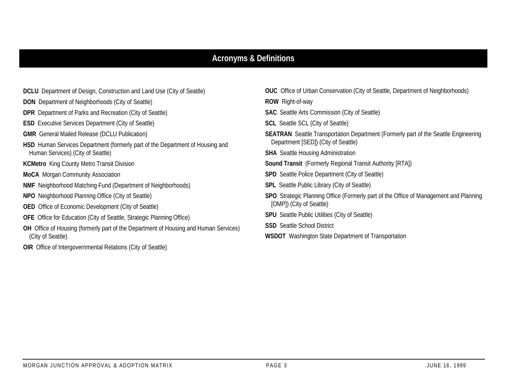## **Acronyms & Definitions**

- **DON** Department of Neighborhoods (City of Seattle)
- **DPR** Department of Parks and Recreation (City of Seattle)
- **ESD** Executive Services Department (City of Seattle)
- **GMR** General Mailed Release (DCLU Publication)
- **HSD** Human Services Department (formerly part of the Department of Housing and Human Services) (City of Seattle)
- **KCMetro** King County Metro Transit Division
- **MoCA** Morgan Community Association
- **NMF** Neighborhood Matching Fund (Department of Neighborhoods)
- **NPO** Neighborhood Planning Office (City of Seattle)
- **OED** Office of Economic Development (City of Seattle)
- **OFE** Office for Education (City of Seattle, Strategic Planning Office)
- **OH** Office of Housing (formerly part of the Department of Housing and Human Services) (City of Seattle)
- **OIR** Office of Intergovernmental Relations (City of Seattle)
- **OUC** Office of Urban Conservation (City of Seattle, Department of Neighborhoods)
- **ROW** Right-of-way
- **SAC** Seattle Arts Commission (City of Seattle)
- **SCL** Seattle SCL (City of Seattle)
- **SEATRAN** Seattle Transportation Department (Formerly part of the Seattle Engineering Department [SED]) (City of Seattle)
- **SHA** Seattle Housing Administration
- **Sound Transit** (Formerly Regional Transit Authority [RTA])
- **SPD** Seattle Police Department (City of Seattle)
- **SPL** Seattle Public Library (City of Seattle)
- **SPO** Strategic Planning Office (Formerly part of the Office of Management and Planning [OMP]) (City of Seattle)
- **SPU** Seattle Public Utilities (City of Seattle)
- **SSD** Seattle School District
- **WSDOT** Washington State Department of Transportation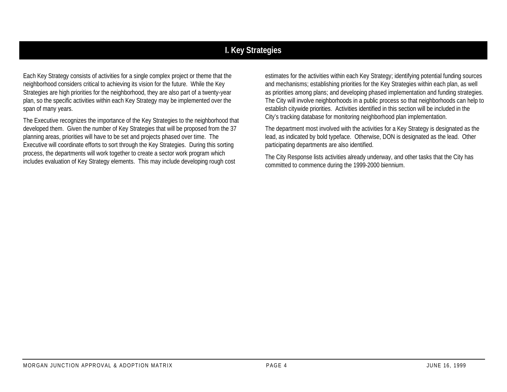# **I. Key Strategies**

Each Key Strategy consists of activities for a single complex project or theme that the neighborhood considers critical to achieving its vision for the future. While the Key Strategies are high priorities for the neighborhood, they are also part of a twenty-year plan, so the specific activities within each Key Strategy may be implemented over the span of many years.

The Executive recognizes the importance of the Key Strategies to the neighborhood that developed them. Given the number of Key Strategies that will be proposed from the 37 planning areas, priorities will have to be set and projects phased over time. The Executive will coordinate efforts to sort through the Key Strategies. During this sorting process, the departments will work together to create a sector work program which includes evaluation of Key Strategy elements. This may include developing rough cost

estimates for the activities within each Key Strategy; identifying potential funding sources and mechanisms; establishing priorities for the Key Strategies within each plan, as well as priorities among plans; and developing phased implementation and funding strategies. The City will involve neighborhoods in a public process so that neighborhoods can help to establish citywide priorities. Activities identified in this section will be included in the City's tracking database for monitoring neighborhood plan implementation.

The department most involved with the activities for a Key Strategy is designated as the lead, as indicated by bold typeface. Otherwise, DON is designated as the lead. Other participating departments are also identified.

The City Response lists activities already underway, and other tasks that the City has committed to commence during the 1999-2000 biennium.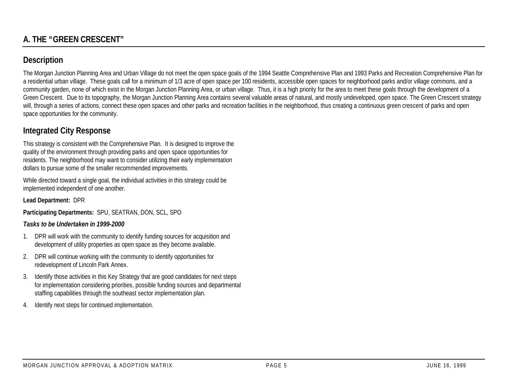# **Description**

The Morgan Junction Planning Area and Urban Village do not meet the open space goals of the 1994 Seattle Comprehensive Plan and 1993 Parks and Recreation Comprehensive Plan for a residential urban village. These goals call for a minimum of 1/3 acre of open space per 100 residents, accessible open spaces for neighborhood parks and/or village commons, and a community garden, none of which exist in the Morgan Junction Planning Area, or urban village. Thus, it is a high priority for the area to meet these goals through the development of a Green Crescent. Due to its topography, the Morgan Junction Planning Area contains several valuable areas of natural, and mostly undeveloped, open space. The Green Crescent strategy will, through a series of actions, connect these open spaces and other parks and recreation facilities in the neighborhood, thus creating a continuous green crescent of parks and open space opportunities for the community.

# **Integrated City Response**

This strategy is consistent with the Comprehensive Plan. It is designed to improve the quality of the environment through providing parks and open space opportunities for residents. The neighborhood may want to consider utilizing their early implementation dollars to pursue some of the smaller recommended improvements.

While directed toward a single goal, the individual activities in this strategy could be implemented independent of one another.

**Lead Department:** DPR

**Participating Departments:** SPU, SEATRAN, DON, SCL, SPO

#### *Tasks to be Undertaken in 1999-2000*

- 1. DPR will work with the community to identify funding sources for acquisition and development of utility properties as open space as they become available.
- 2. DPR will continue working with the community to identify opportunities for redevelopment of Lincoln Park Annex.
- 3. Identify those activities in this Key Strategy that are good candidates for next steps for implementation considering priorities, possible funding sources and departmental staffing capabilities through the southeast sector implementation plan.
- 4. Identify next steps for continued implementation.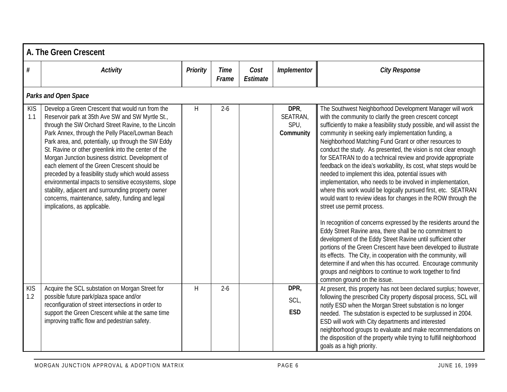|                   | A. The Green Crescent                                                                                                                                                                                                                                                                                                                                                                                                                                                                                                                                                                                                                                                                        |                 |                      |                  |                                       |                                                                                                                                                                                                                                                                                                                                                                                                                                                                                                                                                                                                                                                                                                                                                                                                                                                                                                                                                                                                                                                                                                                                                                                                                                                                                                                    |  |  |  |  |  |
|-------------------|----------------------------------------------------------------------------------------------------------------------------------------------------------------------------------------------------------------------------------------------------------------------------------------------------------------------------------------------------------------------------------------------------------------------------------------------------------------------------------------------------------------------------------------------------------------------------------------------------------------------------------------------------------------------------------------------|-----------------|----------------------|------------------|---------------------------------------|--------------------------------------------------------------------------------------------------------------------------------------------------------------------------------------------------------------------------------------------------------------------------------------------------------------------------------------------------------------------------------------------------------------------------------------------------------------------------------------------------------------------------------------------------------------------------------------------------------------------------------------------------------------------------------------------------------------------------------------------------------------------------------------------------------------------------------------------------------------------------------------------------------------------------------------------------------------------------------------------------------------------------------------------------------------------------------------------------------------------------------------------------------------------------------------------------------------------------------------------------------------------------------------------------------------------|--|--|--|--|--|
| $\#$              | <b>Activity</b>                                                                                                                                                                                                                                                                                                                                                                                                                                                                                                                                                                                                                                                                              | <b>Priority</b> | <b>Time</b><br>Frame | Cost<br>Estimate | Implementor                           | <b>City Response</b>                                                                                                                                                                                                                                                                                                                                                                                                                                                                                                                                                                                                                                                                                                                                                                                                                                                                                                                                                                                                                                                                                                                                                                                                                                                                                               |  |  |  |  |  |
|                   | Parks and Open Space                                                                                                                                                                                                                                                                                                                                                                                                                                                                                                                                                                                                                                                                         |                 |                      |                  |                                       |                                                                                                                                                                                                                                                                                                                                                                                                                                                                                                                                                                                                                                                                                                                                                                                                                                                                                                                                                                                                                                                                                                                                                                                                                                                                                                                    |  |  |  |  |  |
| <b>KIS</b><br>1.1 | Develop a Green Crescent that would run from the<br>Reservoir park at 35th Ave SW and SW Myrtle St.,<br>through the SW Orchard Street Ravine, to the Lincoln<br>Park Annex, through the Pelly Place/Lowman Beach<br>Park area, and, potentially, up through the SW Eddy<br>St. Ravine or other greenlink into the center of the<br>Morgan Junction business district. Development of<br>each element of the Green Crescent should be<br>preceded by a feasibility study which would assess<br>environmental impacts to sensitive ecosystems, slope<br>stability, adjacent and surrounding property owner<br>concerns, maintenance, safety, funding and legal<br>implications, as applicable. | H               | $2 - 6$              |                  | DPR,<br>SEATRAN,<br>SPU,<br>Community | The Southwest Neighborhood Development Manager will work<br>with the community to clarify the green crescent concept<br>sufficiently to make a feasibility study possible, and will assist the<br>community in seeking early implementation funding, a<br>Neighborhood Matching Fund Grant or other resources to<br>conduct the study. As presented, the vision is not clear enough<br>for SEATRAN to do a technical review and provide appropriate<br>feedback on the idea's workability, its cost, what steps would be<br>needed to implement this idea, potential issues with<br>implementation, who needs to be involved in implementation,<br>where this work would be logically pursued first, etc. SEATRAN<br>would want to review ideas for changes in the ROW through the<br>street use permit process.<br>In recognition of concerns expressed by the residents around the<br>Eddy Street Ravine area, there shall be no commitment to<br>development of the Eddy Street Ravine until sufficient other<br>portions of the Green Crescent have been developed to illustrate<br>its effects. The City, in cooperation with the community, will<br>determine if and when this has occurred. Encourage community<br>groups and neighbors to continue to work together to find<br>common ground on the issue. |  |  |  |  |  |
| <b>KIS</b><br>1.2 | Acquire the SCL substation on Morgan Street for<br>possible future park/plaza space and/or<br>reconfiguration of street intersections in order to<br>support the Green Crescent while at the same time<br>improving traffic flow and pedestrian safety.                                                                                                                                                                                                                                                                                                                                                                                                                                      | H               | $2 - 6$              |                  | DPR,<br>SCL,<br><b>ESD</b>            | At present, this property has not been declared surplus; however,<br>following the prescribed City property disposal process, SCL will<br>notify ESD when the Morgan Street substation is no longer<br>needed. The substation is expected to be surplussed in 2004.<br>ESD will work with City departments and interested<br>neighborhood groups to evaluate and make recommendations on<br>the disposition of the property while trying to fulfill neighborhood<br>goals as a high priority.                                                                                                                                                                                                                                                                                                                                                                                                                                                                                                                                                                                                                                                                                                                                                                                                                      |  |  |  |  |  |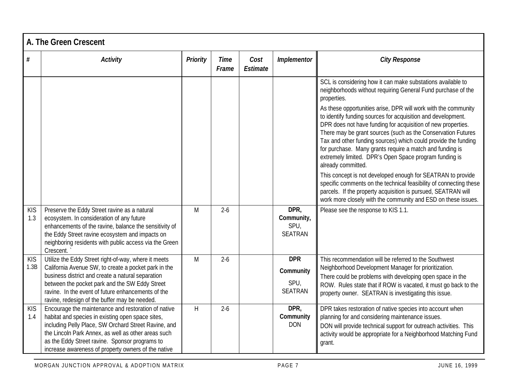|                    | A. The Green Crescent                                                                                                                                                                                                                                                                                                            |                 |                      |                  |                                                   |                                                                                                                                                                                                                                                                                                                                                                                                                                                                                                                                                                                                                                                                                           |  |  |  |
|--------------------|----------------------------------------------------------------------------------------------------------------------------------------------------------------------------------------------------------------------------------------------------------------------------------------------------------------------------------|-----------------|----------------------|------------------|---------------------------------------------------|-------------------------------------------------------------------------------------------------------------------------------------------------------------------------------------------------------------------------------------------------------------------------------------------------------------------------------------------------------------------------------------------------------------------------------------------------------------------------------------------------------------------------------------------------------------------------------------------------------------------------------------------------------------------------------------------|--|--|--|
| #                  | <b>Activity</b>                                                                                                                                                                                                                                                                                                                  | <b>Priority</b> | <b>Time</b><br>Frame | Cost<br>Estimate | Implementor                                       | <b>City Response</b>                                                                                                                                                                                                                                                                                                                                                                                                                                                                                                                                                                                                                                                                      |  |  |  |
|                    |                                                                                                                                                                                                                                                                                                                                  |                 |                      |                  |                                                   | SCL is considering how it can make substations available to<br>neighborhoods without requiring General Fund purchase of the<br>properties.<br>As these opportunities arise, DPR will work with the community<br>to identify funding sources for acquisition and development.<br>DPR does not have funding for acquisition of new properties.<br>There may be grant sources (such as the Conservation Futures<br>Tax and other funding sources) which could provide the funding<br>for purchase. Many grants require a match and funding is<br>extremely limited. DPR's Open Space program funding is<br>already committed.<br>This concept is not developed enough for SEATRAN to provide |  |  |  |
|                    |                                                                                                                                                                                                                                                                                                                                  |                 |                      |                  |                                                   | specific comments on the technical feasibility of connecting these<br>parcels. If the property acquisition is pursued, SEATRAN will<br>work more closely with the community and ESD on these issues.                                                                                                                                                                                                                                                                                                                                                                                                                                                                                      |  |  |  |
| <b>KIS</b><br>1.3  | Preserve the Eddy Street ravine as a natural<br>ecosystem. In consideration of any future<br>enhancements of the ravine, balance the sensitivity of<br>the Eddy Street ravine ecosystem and impacts on<br>neighboring residents with public access via the Green<br>Crescent.                                                    | M               | $2 - 6$              |                  | DPR,<br>Community,<br>SPU,<br><b>SEATRAN</b>      | Please see the response to KIS 1.1.                                                                                                                                                                                                                                                                                                                                                                                                                                                                                                                                                                                                                                                       |  |  |  |
| <b>KIS</b><br>1.3B | Utilize the Eddy Street right-of-way, where it meets<br>California Avenue SW, to create a pocket park in the<br>business district and create a natural separation<br>between the pocket park and the SW Eddy Street<br>ravine. In the event of future enhancements of the<br>ravine, redesign of the buffer may be needed.       | M               | $2 - 6$              |                  | <b>DPR</b><br>Community<br>SPU,<br><b>SEATRAN</b> | This recommendation will be referred to the Southwest<br>Neighborhood Development Manager for prioritization.<br>There could be problems with developing open space in the<br>ROW. Rules state that if ROW is vacated, it must go back to the<br>property owner. SEATRAN is investigating this issue.                                                                                                                                                                                                                                                                                                                                                                                     |  |  |  |
| <b>KIS</b><br>1.4  | Encourage the maintenance and restoration of native<br>habitat and species in existing open space sites,<br>including Pelly Place, SW Orchard Street Ravine, and<br>the Lincoln Park Annex, as well as other areas such<br>as the Eddy Street ravine. Sponsor programs to<br>increase awareness of property owners of the native | H               | $2 - 6$              |                  | DPR,<br>Community<br><b>DON</b>                   | DPR takes restoration of native species into account when<br>planning for and considering maintenance issues.<br>DON will provide technical support for outreach activities. This<br>activity would be appropriate for a Neighborhood Matching Fund<br>grant.                                                                                                                                                                                                                                                                                                                                                                                                                             |  |  |  |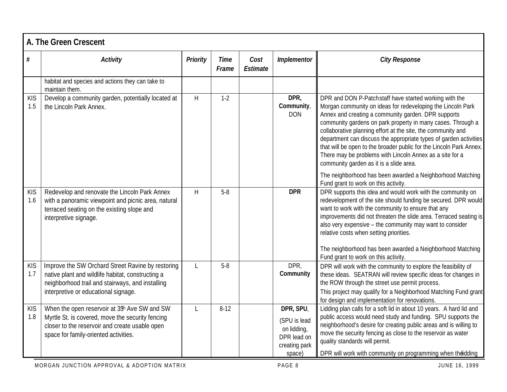|                   | A. The Green Crescent                                                                                                                                                                                    |              |                      |                  |                                                                                    |                                                                                                                                                                                                                                                                                                                                                                                                                                                                                                                                                                                                                                                                     |
|-------------------|----------------------------------------------------------------------------------------------------------------------------------------------------------------------------------------------------------|--------------|----------------------|------------------|------------------------------------------------------------------------------------|---------------------------------------------------------------------------------------------------------------------------------------------------------------------------------------------------------------------------------------------------------------------------------------------------------------------------------------------------------------------------------------------------------------------------------------------------------------------------------------------------------------------------------------------------------------------------------------------------------------------------------------------------------------------|
| $\#$              | <b>Activity</b>                                                                                                                                                                                          | Priority     | <b>Time</b><br>Frame | Cost<br>Estimate | Implementor                                                                        | <b>City Response</b>                                                                                                                                                                                                                                                                                                                                                                                                                                                                                                                                                                                                                                                |
|                   | habitat and species and actions they can take to<br>maintain them.                                                                                                                                       |              |                      |                  |                                                                                    |                                                                                                                                                                                                                                                                                                                                                                                                                                                                                                                                                                                                                                                                     |
| <b>KIS</b><br>1.5 | Develop a community garden, potentially located at<br>the Lincoln Park Annex.                                                                                                                            | H            | $1 - 2$              |                  | DPR,<br>Community,<br><b>DON</b>                                                   | DPR and DON P-Patchstaff have started working with the<br>Morgan community on ideas for redeveloping the Lincoln Park<br>Annex and creating a community garden. DPR supports<br>community gardens on park property in many cases. Through a<br>collaborative planning effort at the site, the community and<br>department can discuss the appropriate types of garden activities<br>that will be open to the broader public for the Lincoln Park Annex.<br>There may be problems with Lincoln Annex as a site for a<br>community garden as it is a slide area.<br>The neighborhood has been awarded a Neighborhood Matching<br>Fund grant to work on this activity. |
| <b>KIS</b><br>1.6 | Redevelop and renovate the Lincoln Park Annex<br>with a panoramic viewpoint and picnic area, natural<br>terraced seating on the existing slope and<br>interpretive signage.                              | H            | $5 - 8$              |                  | <b>DPR</b>                                                                         | DPR supports this idea and would work with the community on<br>redevelopment of the site should funding be secured. DPR would<br>want to work with the community to ensure that any<br>improvements did not threaten the slide area. Terraced seating is<br>also very expensive - the community may want to consider<br>relative costs when setting priorities.<br>The neighborhood has been awarded a Neighborhood Matching<br>Fund grant to work on this activity.                                                                                                                                                                                                |
| <b>KIS</b><br>1.7 | Improve the SW Orchard Street Ravine by restoring<br>native plant and wildlife habitat, constructing a<br>neighborhood trail and stairways, and installing<br>interpretive or educational signage.       | $\mathbf{I}$ | $5 - 8$              |                  | DPR,<br>Community                                                                  | DPR will work with the community to explore the feasibility of<br>these ideas. SEATRAN will review specific ideas for changes in<br>the ROW through the street use permit process.<br>This project may qualify for a Neighborhood Matching Fund grant<br>for design and implementation for renovations.                                                                                                                                                                                                                                                                                                                                                             |
| <b>KIS</b><br>1.8 | When the open reservoir at 35 <sup>th</sup> Ave SW and SW<br>Myrtle St. is covered, move the security fencing<br>closer to the reservoir and create usable open<br>space for family-oriented activities. | $\mathsf{L}$ | $8 - 12$             |                  | DPR, SPU,<br>(SPU is lead<br>on lidding,<br>DPR lead on<br>creating park<br>space) | Lidding plan calls for a soft lid in about 10 years. A hard lid and<br>public access would need study and funding. SPU supports the<br>neighborhood's desire for creating public areas and is willing to<br>move the security fencing as close to the reservoir as water<br>quality standards will permit.<br>DPR will work with community on programming when the idding                                                                                                                                                                                                                                                                                           |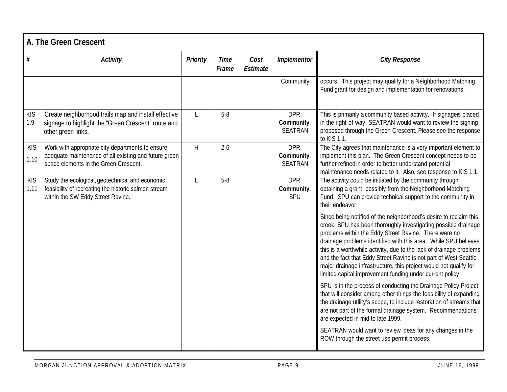|                    | A. The Green Crescent                                                                                                                              |          |                      |                  |                                     |                                                                                                                                                                                                                                                                                                                                                                                                                                                                                                                                              |  |  |  |  |
|--------------------|----------------------------------------------------------------------------------------------------------------------------------------------------|----------|----------------------|------------------|-------------------------------------|----------------------------------------------------------------------------------------------------------------------------------------------------------------------------------------------------------------------------------------------------------------------------------------------------------------------------------------------------------------------------------------------------------------------------------------------------------------------------------------------------------------------------------------------|--|--|--|--|
| $\#$               | <b>Activity</b>                                                                                                                                    | Priority | <b>Time</b><br>Frame | Cost<br>Estimate | Implementor                         | <b>City Response</b>                                                                                                                                                                                                                                                                                                                                                                                                                                                                                                                         |  |  |  |  |
|                    |                                                                                                                                                    |          |                      |                  | Community                           | occurs. This project may qualify for a Neighborhood Matching<br>Fund grant for design and implementation for renovations.                                                                                                                                                                                                                                                                                                                                                                                                                    |  |  |  |  |
| <b>KIS</b><br>1.9  | Create neighborhood trails map and install effective<br>signage to highlight the 'Green Crescent" route and<br>other green links.                  | L        | $5 - 8$              |                  | DPR,<br>Community<br><b>SEATRAN</b> | This is primarily a community based activity. If signageis placed<br>in the right-of-way, SEATRAN would want to review the signing<br>proposed through the Green Crescent. Please see the response<br>to KIS 1.1.                                                                                                                                                                                                                                                                                                                            |  |  |  |  |
| <b>KIS</b><br>1.10 | Work with appropriate city departments to ensure<br>adequate maintenance of all existing and future green<br>space elements in the Green Crescent. | H        | $2 - 6$              |                  | DPR,<br>Community,<br>SEATRAN       | The City agrees that maintenance is a very important element to<br>implement this plan. The Green Crescent concept needs to be<br>further refined in order to better understand potential<br>maintenance needs related to it. Also, see response to KIS 1.1.                                                                                                                                                                                                                                                                                 |  |  |  |  |
| <b>KIS</b><br>1.11 | Study the ecological, geotechnical and economic<br>feasibility of recreating the historic salmon stream<br>within the SW Eddy Street Ravine.       | L        | $5 - 8$              |                  | DPR,<br>Community,<br>SPU           | The activity could be initiated by the community through<br>obtaining a grant, possibly from the Neighborhood Matching<br>Fund. SPU can provide technical support to the community in<br>their endeavor.                                                                                                                                                                                                                                                                                                                                     |  |  |  |  |
|                    |                                                                                                                                                    |          |                      |                  |                                     | Since being notified of the neighborhood's desire to reclaim this<br>creek, SPU has been thoroughly investigating possible drainage<br>problems within the Eddy Street Ravine. There were no<br>drainage problems identified with this area. While SPU believes<br>this is a worthwhile activity, due to the lack of drainage problems<br>and the fact that Eddy Street Ravine is not part of West Seattle<br>major drainage infrastructure, this project would not qualify for<br>limited capital improvement funding under current policy. |  |  |  |  |
|                    |                                                                                                                                                    |          |                      |                  |                                     | SPU is in the process of conducting the Drainage Policy Project<br>that will consider among other things the feasibility of expanding<br>the drainage utility's scope, to include restoration of streams that<br>are not part of the formal drainage system. Recommendations<br>are expected in mid to late 1999.                                                                                                                                                                                                                            |  |  |  |  |
|                    |                                                                                                                                                    |          |                      |                  |                                     | SEATRAN would want to review ideas for any changes in the<br>ROW through the street use permit process.                                                                                                                                                                                                                                                                                                                                                                                                                                      |  |  |  |  |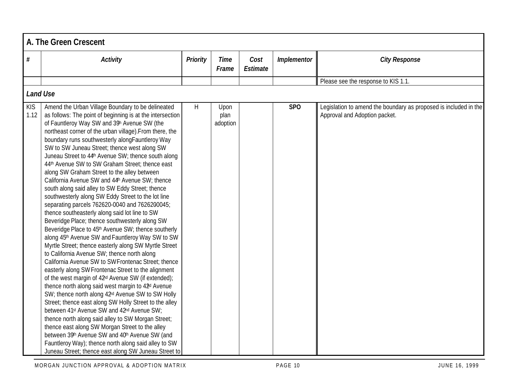|                    | A. The Green Crescent                                                                                                                                                                                                                                                                                                                                                                                                                                                                                                                                                                                                                                                                                                                                                                                                                                                                                                                                                                                                                                                                                                                                                                                                                                                                                                                                                                                                                                                                                                                                                                                                                                                                                                                                             |                 |                          |                  |             |                                                                                                   |
|--------------------|-------------------------------------------------------------------------------------------------------------------------------------------------------------------------------------------------------------------------------------------------------------------------------------------------------------------------------------------------------------------------------------------------------------------------------------------------------------------------------------------------------------------------------------------------------------------------------------------------------------------------------------------------------------------------------------------------------------------------------------------------------------------------------------------------------------------------------------------------------------------------------------------------------------------------------------------------------------------------------------------------------------------------------------------------------------------------------------------------------------------------------------------------------------------------------------------------------------------------------------------------------------------------------------------------------------------------------------------------------------------------------------------------------------------------------------------------------------------------------------------------------------------------------------------------------------------------------------------------------------------------------------------------------------------------------------------------------------------------------------------------------------------|-----------------|--------------------------|------------------|-------------|---------------------------------------------------------------------------------------------------|
| $\#$               | <b>Activity</b>                                                                                                                                                                                                                                                                                                                                                                                                                                                                                                                                                                                                                                                                                                                                                                                                                                                                                                                                                                                                                                                                                                                                                                                                                                                                                                                                                                                                                                                                                                                                                                                                                                                                                                                                                   | <b>Priority</b> | <b>Time</b><br>Frame     | Cost<br>Estimate | Implementor | <b>City Response</b>                                                                              |
|                    |                                                                                                                                                                                                                                                                                                                                                                                                                                                                                                                                                                                                                                                                                                                                                                                                                                                                                                                                                                                                                                                                                                                                                                                                                                                                                                                                                                                                                                                                                                                                                                                                                                                                                                                                                                   |                 |                          |                  |             | Please see the response to KIS 1.1.                                                               |
| <b>Land Use</b>    |                                                                                                                                                                                                                                                                                                                                                                                                                                                                                                                                                                                                                                                                                                                                                                                                                                                                                                                                                                                                                                                                                                                                                                                                                                                                                                                                                                                                                                                                                                                                                                                                                                                                                                                                                                   |                 |                          |                  |             |                                                                                                   |
| <b>KIS</b><br>1.12 | Amend the Urban Village Boundary to be delineated<br>as follows: The point of beginning is at the intersection<br>of Fauntleroy Way SW and 39h Avenue SW (the<br>northeast corner of the urban village). From there, the<br>boundary runs southwesterly alongFauntleroy Way<br>SW to SW Juneau Street; thence west along SW<br>Juneau Street to 44th Avenue SW; thence south along<br>44th Avenue SW to SW Graham Street; thence east<br>along SW Graham Street to the alley between<br>California Avenue SW and 44 <sup>h</sup> Avenue SW; thence<br>south along said alley to SW Eddy Street; thence<br>southwesterly along SW Eddy Street to the lot line<br>separating parcels 762620-0040 and 7626200045;<br>thence southeasterly along said lot line to SW<br>Beveridge Place; thence southwesterly along SW<br>Beveridge Place to 45th Avenue SW; thence southerly<br>along 45th Avenue SW and Fauntleroy Way SW to SW<br>Myrtle Street; thence easterly along SW Myrtle Street<br>to California Avenue SW; thence north along<br>California Avenue SW to SWFrontenac Street; thence<br>easterly along SW Frontenac Street to the alignment<br>of the west margin of 42 <sup>d</sup> Avenue SW (if extended);<br>thence north along said west margin to 42 <sup>d</sup> Avenue<br>SW; thence north along 42 <sup>rd</sup> Avenue SW to SW Holly<br>Street; thence east along SW Holly Street to the alley<br>between 41 <sup>st</sup> Avenue SW and 42 <sup>nd</sup> Avenue SW;<br>thence north along said alley to SW Morgan Street;<br>thence east along SW Morgan Street to the alley<br>between 39th Avenue SW and 40th Avenue SW (and<br>Fauntleroy Way); thence north along said alley to SW<br>Juneau Street; thence east along SW Juneau Street to | H               | Upon<br>plan<br>adoption |                  | SPO         | Legislation to amend the boundary as proposed is included in the<br>Approval and Adoption packet. |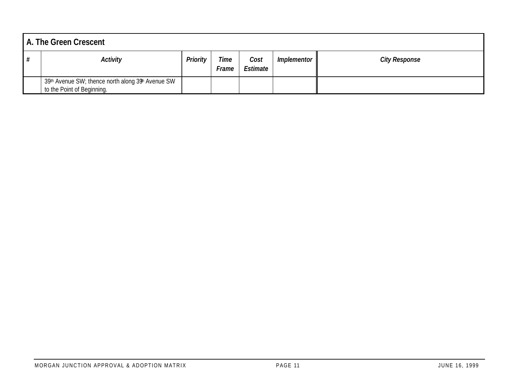| A. The Green Crescent                                                           |          |               |                  |                    |                      |
|---------------------------------------------------------------------------------|----------|---------------|------------------|--------------------|----------------------|
| <b>Activity</b>                                                                 | Priority | Time<br>Frame | Cost<br>Estimate | <i>Implementor</i> | <b>City Response</b> |
| 39th Avenue SW; thence north along 39th Avenue SW<br>to the Point of Beginning. |          |               |                  |                    |                      |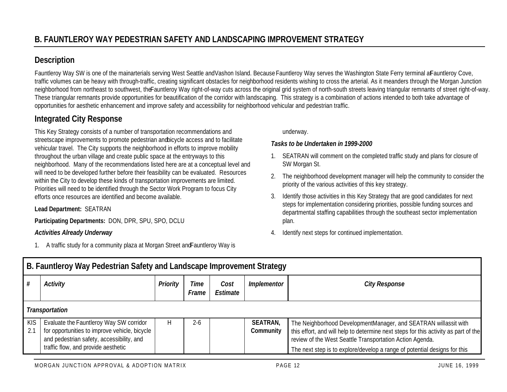# **Description**

Fauntleroy Way SW is one of the mainarterials serving West Seattle and Vashon Island. Because Fauntleroy Way serves the Washington State Ferry terminal a Fauntleroy Cove, traffic volumes can be heavy with through-traffic, creating significant obstacles for neighborhood residents wishing to cross the arterial. As it meanders through the Morgan Junction neighborhood from northeast to southwest, the Fauntleroy Way right-of-way cuts across the original grid system of north-south streets leaving triangular remnants of street right-of-way. These triangular remnants provide opportunities for beautification of the corridor with landscaping. This strategy is a combination of actions intended to both take advantage of opportunities for aesthetic enhancement and improve safety and accessibility for neighborhood vehicular and pedestrian traffic.

# **Integrated City Response**

This Key Strategy consists of a number of transportation recommendations and streetscape improvements to promote pedestrian and bicycle access and to facilitate vehicular travel. The City supports the neighborhood in efforts to improve mobility throughout the urban village and create public space at the entryways to this neighborhood. Many of the recommendations listed here are at a conceptual level and will need to be developed further before their feasibility can be evaluated. Resources within the City to develop these kinds of transportation improvements are limited. Priorities will need to be identified through the Sector Work Program to focus City efforts once resources are identified and become available.

#### **Lead Department:** SEATRAN

**Participating Departments:** DON, DPR, SPU, SPO, DCLU

#### *Activities Already Underway*

1. A traffic study for a community plaza at Morgan Street and Fauntleroy Way is

underway.

#### *Tasks to be Undertaken in 1999-2000*

- 1. SEATRAN will comment on the completed traffic study and plans for closure of SW Morgan St.
- 2. The neighborhood development manager will help the community to consider the priority of the various activities of this key strategy.
- 3. Identify those activities in this Key Strategy that are good candidates for next steps for implementation considering priorities, possible funding sources and departmental staffing capabilities through the southeast sector implementation plan.
- 4. Identify next steps for continued implementation.

|                    | B. Fauntleroy Way Pedestrian Safety and Landscape Improvement Strategy                                                                                                       |                 |               |                  |                              |                                                                                                                                                                                                                                                                                                 |  |  |  |  |  |  |
|--------------------|------------------------------------------------------------------------------------------------------------------------------------------------------------------------------|-----------------|---------------|------------------|------------------------------|-------------------------------------------------------------------------------------------------------------------------------------------------------------------------------------------------------------------------------------------------------------------------------------------------|--|--|--|--|--|--|
|                    | Activity                                                                                                                                                                     | <b>Priority</b> | Time<br>Frame | Cost<br>Estimate | Implementor                  | <b>City Response</b>                                                                                                                                                                                                                                                                            |  |  |  |  |  |  |
|                    | <b>Transportation</b>                                                                                                                                                        |                 |               |                  |                              |                                                                                                                                                                                                                                                                                                 |  |  |  |  |  |  |
| <b>KIS</b><br>-2.1 | Evaluate the Fauntleroy Way SW corridor<br>for opportunities to improve vehicle, bicycle<br>and pedestrian safety, accessibility, and<br>traffic flow, and provide aesthetic | H               | $2 - 6$       |                  | <b>SEATRAN,</b><br>Community | The Neighborhood DevelopmentManager, and SEATRAN willassit with<br>this effort, and will help to determine next steps for this activity as part of the<br>review of the West Seattle Transportation Action Agenda.<br>The next step is to explore/develop a range of potential designs for this |  |  |  |  |  |  |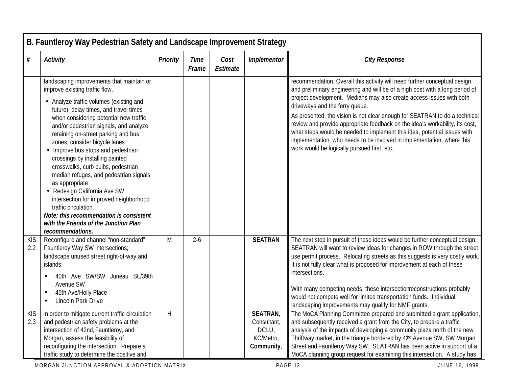| $\#$              | Activity                                                                                                                                                                                                                                                                                                                                                                                                                                                                                                                                      | Priority                | <b>Time</b><br>Frame | Cost<br>Estimate | Implementor          | <b>City Response</b>                                                                                                                                                                                                                                                                                                                                            |
|-------------------|-----------------------------------------------------------------------------------------------------------------------------------------------------------------------------------------------------------------------------------------------------------------------------------------------------------------------------------------------------------------------------------------------------------------------------------------------------------------------------------------------------------------------------------------------|-------------------------|----------------------|------------------|----------------------|-----------------------------------------------------------------------------------------------------------------------------------------------------------------------------------------------------------------------------------------------------------------------------------------------------------------------------------------------------------------|
|                   | landscaping improvements that maintain or<br>improve existing traffic flow.                                                                                                                                                                                                                                                                                                                                                                                                                                                                   |                         |                      |                  |                      | recommendation. Overall this activity will need further conceptual design<br>and preliminary engineering and will be of a high cost with a long period of                                                                                                                                                                                                       |
|                   | • Analyze traffic volumes (existing and<br>future), delay times, and travel times                                                                                                                                                                                                                                                                                                                                                                                                                                                             |                         |                      |                  |                      | project development. Medians may also create access issues with both<br>driveways and the ferry queue.                                                                                                                                                                                                                                                          |
|                   | when considering potential new traffic<br>and/or pedestrian signals, and analyze<br>retaining on-street parking and bus<br>zones; consider bicycle lanes<br>• Improve bus stops and pedestrian<br>crossings by installing painted<br>crosswalks, curb bulbs, pedestrian<br>median refuges, and pedestrian signals<br>as appropriate<br>• Redesign California Ave SW<br>intersection for improved neighborhood<br>traffic circulation.<br>Note: this recommendation is consistent<br>with the Friends of the Junction Plan<br>recommendations. |                         |                      |                  |                      | As presented, the vision is not clear enough for SEATRAN to do a technical<br>review and provide appropriate feedback on the idea's workability, its cost,<br>what steps would be needed to implement this idea, potential issues with<br>implementation, who needs to be involved in implementation, where this<br>work would be logically pursued first, etc. |
| <b>KIS</b><br>2.2 | Reconfigure and channel 'non-standard"<br>Fauntleroy Way SW intersections;<br>landscape unused street right-of-way and<br>islands:                                                                                                                                                                                                                                                                                                                                                                                                            | M                       | $2 - 6$              |                  | <b>SEATRAN</b>       | The next step in pursuit of these ideas would be further conceptual design.<br>SEATRAN will want to review ideas for changes in ROW through the street<br>use permit process. Relocating streets as this suggests is very costly work.<br>It is not fully clear what is proposed for improvement at each of these<br>intersections.                             |
|                   | 40th Ave SW/SW Juneau St./39th<br>Avenue SW<br>45th Ave/Holly Place<br>Lincoln Park Drive<br>$\bullet$                                                                                                                                                                                                                                                                                                                                                                                                                                        |                         |                      |                  |                      | With many competing needs, these intersectionreconstructions probably<br>would not compete well for limited transportation funds. Individual<br>landscaping improvements may qualify for NMF grants.                                                                                                                                                            |
| <b>KIS</b><br>2.3 | In order to mitigate current traffic circulation                                                                                                                                                                                                                                                                                                                                                                                                                                                                                              | $\overline{\mathsf{H}}$ |                      |                  | <b>SEATRAN</b>       | The MoCA Planning Committee prepared and submitted a grant application,                                                                                                                                                                                                                                                                                         |
|                   | and pedestrian safety problems at the<br>intersection of 42nd, Fauntleroy, and                                                                                                                                                                                                                                                                                                                                                                                                                                                                |                         |                      |                  | Consultant,<br>DCLU, | and subsequently received a grant from the City, to prepare a traffic<br>analysis of the impacts of developing a community plaza north of the new                                                                                                                                                                                                               |
|                   | Morgan, assess the feasibility of                                                                                                                                                                                                                                                                                                                                                                                                                                                                                                             |                         |                      |                  | KC/Metro,            | Thriftway market, in the triangle bordered by 42 <sup>d</sup> Avenue SW, SW Morgan                                                                                                                                                                                                                                                                              |
|                   | reconfiguring the intersection. Prepare a                                                                                                                                                                                                                                                                                                                                                                                                                                                                                                     |                         |                      |                  | Community,           | Street and Fauntleroy Way SW. SEATRAN has been active in support of a                                                                                                                                                                                                                                                                                           |
|                   | traffic study to determine the positive and                                                                                                                                                                                                                                                                                                                                                                                                                                                                                                   |                         |                      |                  |                      | MoCA planning group request for examining this intersection. A study has                                                                                                                                                                                                                                                                                        |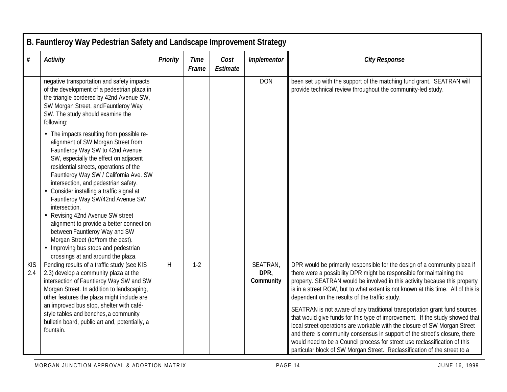|                   | B. Fauntleroy Way Pedestrian Safety and Landscape Improvement Strategy                                                                                                                                                                                                                                                                                                                                                                                                                                                                                                                                                         |                 |                      |                  |                               |                                                                                                                                                                                                                                                                                                                                                                                                                                                                                                                                                                                                                                                                                                                                                                                                                                                           |  |  |  |  |  |
|-------------------|--------------------------------------------------------------------------------------------------------------------------------------------------------------------------------------------------------------------------------------------------------------------------------------------------------------------------------------------------------------------------------------------------------------------------------------------------------------------------------------------------------------------------------------------------------------------------------------------------------------------------------|-----------------|----------------------|------------------|-------------------------------|-----------------------------------------------------------------------------------------------------------------------------------------------------------------------------------------------------------------------------------------------------------------------------------------------------------------------------------------------------------------------------------------------------------------------------------------------------------------------------------------------------------------------------------------------------------------------------------------------------------------------------------------------------------------------------------------------------------------------------------------------------------------------------------------------------------------------------------------------------------|--|--|--|--|--|
| $\#$              | <b>Activity</b>                                                                                                                                                                                                                                                                                                                                                                                                                                                                                                                                                                                                                | <b>Priority</b> | <b>Time</b><br>Frame | Cost<br>Estimate | Implementor                   | <b>City Response</b>                                                                                                                                                                                                                                                                                                                                                                                                                                                                                                                                                                                                                                                                                                                                                                                                                                      |  |  |  |  |  |
|                   | negative transportation and safety impacts<br>of the development of a pedestrian plaza in<br>the triangle bordered by 42nd Avenue SW,<br>SW Morgan Street, and Fauntleroy Way<br>SW. The study should examine the<br>following:                                                                                                                                                                                                                                                                                                                                                                                                |                 |                      |                  | <b>DON</b>                    | been set up with the support of the matching fund grant. SEATRAN will<br>provide technical review throughout the community-led study.                                                                                                                                                                                                                                                                                                                                                                                                                                                                                                                                                                                                                                                                                                                     |  |  |  |  |  |
|                   | • The impacts resulting from possible re-<br>alignment of SW Morgan Street from<br>Fauntleroy Way SW to 42nd Avenue<br>SW, especially the effect on adjacent<br>residential streets, operations of the<br>Fauntleroy Way SW / California Ave. SW<br>intersection, and pedestrian safety.<br>• Consider installing a traffic signal at<br>Fauntleroy Way SW/42nd Avenue SW<br>intersection.<br>• Revising 42nd Avenue SW street<br>alignment to provide a better connection<br>between Fauntleroy Way and SW<br>Morgan Street (to/from the east).<br>• Improving bus stops and pedestrian<br>crossings at and around the plaza. |                 |                      |                  |                               |                                                                                                                                                                                                                                                                                                                                                                                                                                                                                                                                                                                                                                                                                                                                                                                                                                                           |  |  |  |  |  |
| <b>KIS</b><br>2.4 | Pending results of a traffic study (see KIS<br>2.3) develop a community plaza at the<br>intersection of Fauntleroy Way SW and SW<br>Morgan Street. In addition to landscaping,<br>other features the plaza might include are<br>an improved bus stop, shelter with café-<br>style tables and benches, a community<br>bulletin board, public art and, potentially, a<br>fountain.                                                                                                                                                                                                                                               | H               | $1-2$                |                  | SEATRAN,<br>DPR,<br>Community | DPR would be primarily responsible for the design of a community plaza if<br>there were a possibility DPR might be responsible for maintaining the<br>property. SEATRAN would be involved in this activity because this property<br>is in a street ROW, but to what extent is not known at this time. All of this is<br>dependent on the results of the traffic study.<br>SEATRAN is not aware of any traditional transportation grant fund sources<br>that would give funds for this type of improvement. If the study showed that<br>local street operations are workable with the closure of SW Morgan Street<br>and there is community consensus in support of the street's closure, there<br>would need to be a Council process for street use reclassification of this<br>particular block of SW Morgan Street. Reclassification of the street to a |  |  |  |  |  |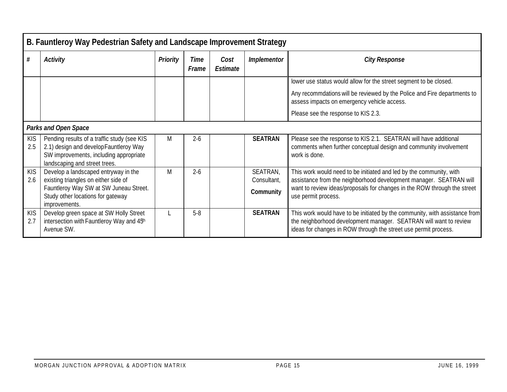|                   | B. Fauntleroy Way Pedestrian Safety and Landscape Improvement Strategy                                                                                           |          |               |                  |                         |                                                                                                                                                                                                                     |
|-------------------|------------------------------------------------------------------------------------------------------------------------------------------------------------------|----------|---------------|------------------|-------------------------|---------------------------------------------------------------------------------------------------------------------------------------------------------------------------------------------------------------------|
| $\#$              | Activity                                                                                                                                                         | Priority | Time<br>Frame | Cost<br>Estimate | Implementor             | <b>City Response</b>                                                                                                                                                                                                |
|                   |                                                                                                                                                                  |          |               |                  |                         | lower use status would allow for the street segment to be closed.                                                                                                                                                   |
|                   |                                                                                                                                                                  |          |               |                  |                         | Any recommdations will be reviewed by the Police and Fire departments to<br>assess impacts on emergency vehicle access.                                                                                             |
|                   |                                                                                                                                                                  |          |               |                  |                         | Please see the response to KIS 2.3.                                                                                                                                                                                 |
|                   | <b>Parks and Open Space</b>                                                                                                                                      |          |               |                  |                         |                                                                                                                                                                                                                     |
| <b>KIS</b><br>2.5 | Pending results of a traffic study (see KIS<br>2.1) design and develop Fauntleroy Way<br>SW improvements, including appropriate<br>landscaping and street trees. | M        | $2 - 6$       |                  | <b>SEATRAN</b>          | Please see the response to KIS 2.1. SEATRAN will have additional<br>comments when further conceptual design and community involvement<br>work is done.                                                              |
| KIS<br>2.6        | Develop a landscaped entryway in the<br>existing triangles on either side of                                                                                     | M        | $2 - 6$       |                  | SEATRAN,<br>Consultant, | This work would need to be initiated and led by the community, with<br>assistance from the neighborhood development manager. SEATRAN will                                                                           |
|                   | Fauntleroy Way SW at SW Juneau Street.                                                                                                                           |          |               |                  | Community               | want to review ideas/proposals for changes in the ROW through the street                                                                                                                                            |
|                   | Study other locations for gateway<br>improvements.                                                                                                               |          |               |                  |                         | use permit process.                                                                                                                                                                                                 |
| <b>KIS</b><br>2.7 | Develop green space at SW Holly Street<br>intersection with Fauntleroy Way and 45h<br>Avenue SW.                                                                 |          | $5 - 8$       |                  | <b>SEATRAN</b>          | This work would have to be initiated by the community, with assistance from<br>the neighborhood development manager. SEATRAN will want to review<br>ideas for changes in ROW through the street use permit process. |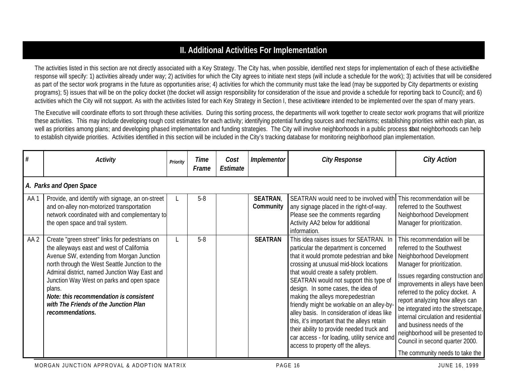# **II. Additional Activities For Implementation**

The activities listed in this section are not directly associated with a Key Strategy. The City has, when possible, identified next steps for implementation of each of these activities he response will specify: 1) activities already under way; 2) activities for which the City agrees to initiate next steps (will include a schedule for the work); 3) activities that will be considered as part of the sector work programs in the future as opportunities arise; 4) activities for which the community must take the lead (may be supported by City departments or existing programs); 5) issues that will be on the policy docket (the docket will assign responsibility for consideration of the issue and provide a schedule for reporting back to Council); and 6) activities which the City will not support. As with the activities listed for each Key Strategy in Section I, these activities intended to be implemented over the span of many years.

The Executive will coordinate efforts to sort through these activities. During this sorting process, the departments will work together to create sector work programs that will prioritize these activities. This may include developing rough cost estimates for each activity; identifying potential funding sources and mechanisms; establishing priorities within each plan, as well as priorities among plans; and developing phased implementation and funding strategies. The City will involve neighborhoods in a public process sbat neighborhoods can help to establish citywide priorities. Activities identified in this section will be included in the City's tracking database for monitoring neighborhood plan implementation.

| #    | <b>Activity</b>                                                                                                                                                                                                                                                                                                                                                                                            | Priority | Time<br>Frame | Cost<br>Estimate | Implementor                 | <b>City Response</b>                                                                                                                                                                                                                                                                                                                                                                                                                                                                                                                                                                                                  | <b>City Action</b>                                                                                                                                                                                                                                                                                                                                                                                                                                                                         |  |  |  |  |  |
|------|------------------------------------------------------------------------------------------------------------------------------------------------------------------------------------------------------------------------------------------------------------------------------------------------------------------------------------------------------------------------------------------------------------|----------|---------------|------------------|-----------------------------|-----------------------------------------------------------------------------------------------------------------------------------------------------------------------------------------------------------------------------------------------------------------------------------------------------------------------------------------------------------------------------------------------------------------------------------------------------------------------------------------------------------------------------------------------------------------------------------------------------------------------|--------------------------------------------------------------------------------------------------------------------------------------------------------------------------------------------------------------------------------------------------------------------------------------------------------------------------------------------------------------------------------------------------------------------------------------------------------------------------------------------|--|--|--|--|--|
|      | A. Parks and Open Space                                                                                                                                                                                                                                                                                                                                                                                    |          |               |                  |                             |                                                                                                                                                                                                                                                                                                                                                                                                                                                                                                                                                                                                                       |                                                                                                                                                                                                                                                                                                                                                                                                                                                                                            |  |  |  |  |  |
| AA1  | Provide, and identify with signage, an on-street<br>and on-alley non-motorized transportation<br>network coordinated with and complementary to<br>the open space and trail system.                                                                                                                                                                                                                         |          | $5 - 8$       |                  | <b>SEATRAN</b><br>Community | SEATRAN would need to be involved with<br>any signage placed in the right-of-way.<br>Please see the comments regarding<br>Activity AA2 below for additional<br>information.                                                                                                                                                                                                                                                                                                                                                                                                                                           | This recommendation will be<br>referred to the Southwest<br>Neighborhood Development<br>Manager for prioritization.                                                                                                                                                                                                                                                                                                                                                                        |  |  |  |  |  |
| AA 2 | Create "green street" links for pedestrians on<br>the alleyways east and west of California<br>Avenue SW, extending from Morgan Junction<br>north through the West Seattle Junction to the<br>Admiral district, named Junction Way East and<br>Junction Way West on parks and open space<br>plans.<br>Note: this recommendation is consistent<br>with The Friends of the Junction Plan<br>recommendations. |          | $5 - 8$       |                  | <b>SEATRAN</b>              | This idea raises issues for SEATRAN. In<br>particular the department is concerned<br>that it would promote pedestrian and bike<br>crossing at unusual mid-block locations<br>that would create a safety problem.<br>SEATRAN would not support this type of<br>design. In some cases, the idea of<br>making the alleys more pedestrian<br>friendly might be workable on an alley-by-<br>alley basis. In consideration of ideas like<br>this, it's important that the alleys retain<br>their ability to provide needed truck and<br>car access - for loading, utility service and<br>access to property off the alleys. | This recommendation will be<br>referred to the Southwest<br>Neighborhood Development<br>Manager for prioritization.<br>Issues regarding construction and<br>improvements in alleys have been<br>referred to the policy docket. A<br>report analyzing how alleys can<br>be integrated into the streetscape,<br>internal circulation and residential<br>and business needs of the<br>neighborhood will be presented to<br>Council in second quarter 2000.<br>The community needs to take the |  |  |  |  |  |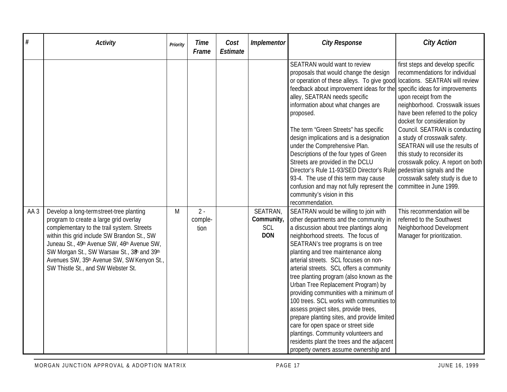| #               | <b>Activity</b>                                                                                                                                                                                                                                                                                                                                                 | Priority | <b>Time</b><br>Frame     | Cost<br><b>Estimate</b> | Implementor                                 | <b>City Response</b>                                                                                                                                                                                                                                                                                                                                                                                                                                                                                                                                                                                                                                                                                                                                                                                                   | <b>City Action</b>                                                                                                                                                                                                                                                                                                                                                                                                                         |
|-----------------|-----------------------------------------------------------------------------------------------------------------------------------------------------------------------------------------------------------------------------------------------------------------------------------------------------------------------------------------------------------------|----------|--------------------------|-------------------------|---------------------------------------------|------------------------------------------------------------------------------------------------------------------------------------------------------------------------------------------------------------------------------------------------------------------------------------------------------------------------------------------------------------------------------------------------------------------------------------------------------------------------------------------------------------------------------------------------------------------------------------------------------------------------------------------------------------------------------------------------------------------------------------------------------------------------------------------------------------------------|--------------------------------------------------------------------------------------------------------------------------------------------------------------------------------------------------------------------------------------------------------------------------------------------------------------------------------------------------------------------------------------------------------------------------------------------|
|                 |                                                                                                                                                                                                                                                                                                                                                                 |          |                          |                         |                                             | SEATRAN would want to review<br>proposals that would change the design<br>or operation of these alleys. To give good locations. SEATRAN will review<br>feedback about improvement ideas for the specific ideas for improvements<br>alley, SEATRAN needs specific<br>information about what changes are<br>proposed.<br>The term "Green Streets" has specific<br>design implications and is a designation<br>under the Comprehensive Plan.<br>Descriptions of the four types of Green<br>Streets are provided in the DCLU<br>Director's Rule 11-93/SED Director's Rule pedestrian signals and the<br>93-4. The use of this term may cause<br>confusion and may not fully represent the                                                                                                                                  | first steps and develop specific<br>recommendations for individual<br>upon receipt from the<br>neighborhood. Crosswalk issues<br>have been referred to the policy<br>docket for consideration by<br>Council. SEATRAN is conducting<br>a study of crosswalk safety.<br>SEATRAN will use the results of<br>this study to reconsider its<br>crosswalk policy. A report on both<br>crosswalk safety study is due to<br>committee in June 1999. |
| AA <sub>3</sub> | Develop a long-termstreet-tree planting<br>program to create a large grid overlay<br>complementary to the trail system. Streets<br>within this grid include SW Brandon St., SW<br>Juneau St., 49th Avenue SW, 46th Avenue SW,<br>SW Morgan St., SW Warsaw St., 38h and 39th<br>Avenues SW, 35th Avenue SW, SW Kenyon St.,<br>SW Thistle St., and SW Webster St. | M        | $2 -$<br>comple-<br>tion |                         | SEATRAN,<br>Community,<br>SCL<br><b>DON</b> | community's vision in this<br>recommendation.<br>SEATRAN would be willing to join with<br>other departments and the community in<br>a discussion about tree plantings along<br>neighborhood streets. The focus of<br>SEATRAN's tree programs is on tree<br>planting and tree maintenance along<br>arterial streets. SCL focuses on non-<br>arterial streets. SCL offers a community<br>tree planting program (also known as the<br>Urban Tree Replacement Program) by<br>providing communities with a minimum of<br>100 trees. SCL works with communities to<br>assess project sites, provide trees,<br>prepare planting sites, and provide limited<br>care for open space or street side<br>plantings. Community volunteers and<br>residents plant the trees and the adjacent<br>property owners assume ownership and | This recommendation will be<br>referred to the Southwest<br>Neighborhood Development<br>Manager for prioritization.                                                                                                                                                                                                                                                                                                                        |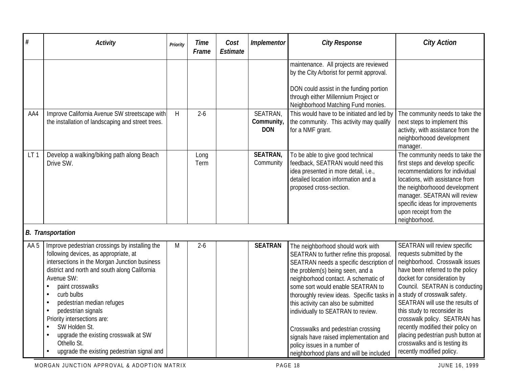| $\#$            | <b>Activity</b>                                                                                                                                                                                                                                                                                                                                                                                                                                   | Priority | <b>Time</b><br>Frame | Cost<br><b>Estimate</b> | Implementor                          | <b>City Response</b>                                                                                                                                                                                                                                                                                                                                                                                                                                                                                                            | <b>City Action</b>                                                                                                                                                                                                                                                                                                                                                                                                                                                           |
|-----------------|---------------------------------------------------------------------------------------------------------------------------------------------------------------------------------------------------------------------------------------------------------------------------------------------------------------------------------------------------------------------------------------------------------------------------------------------------|----------|----------------------|-------------------------|--------------------------------------|---------------------------------------------------------------------------------------------------------------------------------------------------------------------------------------------------------------------------------------------------------------------------------------------------------------------------------------------------------------------------------------------------------------------------------------------------------------------------------------------------------------------------------|------------------------------------------------------------------------------------------------------------------------------------------------------------------------------------------------------------------------------------------------------------------------------------------------------------------------------------------------------------------------------------------------------------------------------------------------------------------------------|
|                 |                                                                                                                                                                                                                                                                                                                                                                                                                                                   |          |                      |                         |                                      | maintenance. All projects are reviewed<br>by the City Arborist for permit approval.<br>DON could assist in the funding portion<br>through either Millennium Project or<br>Neighborhood Matching Fund monies.                                                                                                                                                                                                                                                                                                                    |                                                                                                                                                                                                                                                                                                                                                                                                                                                                              |
| AA4             | Improve California Avenue SW streetscape with<br>the installation of landscaping and street trees.                                                                                                                                                                                                                                                                                                                                                | H        | $2 - 6$              |                         | SEATRAN,<br>Community,<br><b>DON</b> | This would have to be initiated and led by<br>the community. This activity may qualify<br>for a NMF grant.                                                                                                                                                                                                                                                                                                                                                                                                                      | The community needs to take the<br>next steps to implement this<br>activity, with assistance from the<br>neighborhoood development<br>manager.                                                                                                                                                                                                                                                                                                                               |
| LT <sub>1</sub> | Develop a walking/biking path along Beach<br>Drive SW.                                                                                                                                                                                                                                                                                                                                                                                            |          | Long<br>Term         |                         | <b>SEATRAN,</b><br>Community         | To be able to give good technical<br>feedback, SEATRAN would need this<br>idea presented in more detail, i.e.,<br>detailed location information and a<br>proposed cross-section.                                                                                                                                                                                                                                                                                                                                                | The community needs to take the<br>first steps and develop specific<br>recommendations for individual<br>locations, with assistance from<br>the neighborhoood development<br>manager. SEATRAN will review<br>specific ideas for improvements<br>upon receipt from the<br>neighborhood.                                                                                                                                                                                       |
|                 | <b>B.</b> Transportation                                                                                                                                                                                                                                                                                                                                                                                                                          |          |                      |                         |                                      |                                                                                                                                                                                                                                                                                                                                                                                                                                                                                                                                 |                                                                                                                                                                                                                                                                                                                                                                                                                                                                              |
| AA <sub>5</sub> | Improve pedestrian crossings by installing the<br>following devices, as appropriate, at<br>intersections in the Morgan Junction business<br>district and north and south along California<br>Avenue SW:<br>paint crosswalks<br>curb bulbs<br>pedestrian median refuges<br>pedestrian signals<br>Priority intersections are:<br>SW Holden St.<br>upgrade the existing crosswalk at SW<br>Othello St.<br>upgrade the existing pedestrian signal and | M        | $2 - 6$              |                         | <b>SEATRAN</b>                       | The neighborhood should work with<br>SEATRAN to further refine this proposal.<br>SEATRAN needs a specific description of<br>the problem(s) being seen, and a<br>neighborhood contact. A schematic of<br>some sort would enable SEATRAN to<br>thoroughly review ideas. Specific tasks in<br>this activity can also be submitted<br>individually to SEATRAN to review.<br>Crosswalks and pedestrian crossing<br>signals have raised implementation and<br>policy issues in a number of<br>neighborhood plans and will be included | SEATRAN will review specific<br>requests submitted by the<br>neighborhood. Crosswalk issues<br>have been referred to the policy<br>docket for consideration by<br>Council. SEATRAN is conducting<br>a study of crosswalk safety.<br>SEATRAN will use the results of<br>this study to reconsider its<br>crosswalk policy. SEATRAN has<br>recently modified their policy on<br>placing pedestrian push button at<br>crosswalks and is testing its<br>recently modified policy. |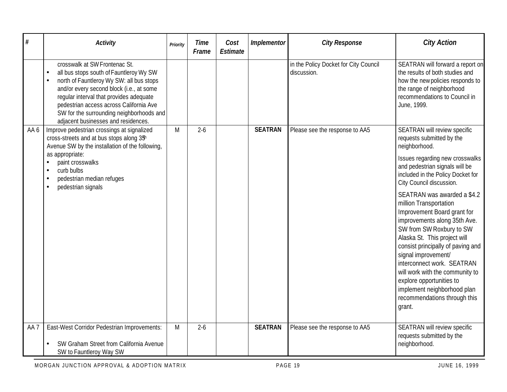| #               | Activity                                                                                                                                                                                                                                                                                                                                                            | Priority | <b>Time</b><br>Frame | Cost<br>Estimate | Implementor    | <b>City Response</b>                                 | <b>City Action</b>                                                                                                                                                                                                                                                                                                                                                                                                 |
|-----------------|---------------------------------------------------------------------------------------------------------------------------------------------------------------------------------------------------------------------------------------------------------------------------------------------------------------------------------------------------------------------|----------|----------------------|------------------|----------------|------------------------------------------------------|--------------------------------------------------------------------------------------------------------------------------------------------------------------------------------------------------------------------------------------------------------------------------------------------------------------------------------------------------------------------------------------------------------------------|
|                 | crosswalk at SW Frontenac St.<br>all bus stops south of Fauntleroy Wy SW<br>$\bullet$<br>north of Fauntleroy Wy SW: all bus stops<br>$\bullet$<br>and/or every second block (i.e., at some<br>regular interval that provides adequate<br>pedestrian access across California Ave<br>SW for the surrounding neighborhoods and<br>adjacent businesses and residences. |          |                      |                  |                | in the Policy Docket for City Council<br>discussion. | SEATRAN will forward a report on<br>the results of both studies and<br>how the new policies responds to<br>the range of neighborhood<br>recommendations to Council in<br>June, 1999.                                                                                                                                                                                                                               |
| AA 6            | Improve pedestrian crossings at signalized<br>cross-streets and at bus stops along 3 <sup>5h</sup><br>Avenue SW by the installation of the following,                                                                                                                                                                                                               | M        | $2 - 6$              |                  | <b>SEATRAN</b> | Please see the response to AA5                       | SEATRAN will review specific<br>requests submitted by the<br>neighborhood.                                                                                                                                                                                                                                                                                                                                         |
|                 | as appropriate:<br>paint crosswalks<br>curb bulbs<br>pedestrian median refuges<br>pedestrian signals                                                                                                                                                                                                                                                                |          |                      |                  |                |                                                      | Issues regarding new crosswalks<br>and pedestrian signals will be<br>included in the Policy Docket for<br>City Council discussion.                                                                                                                                                                                                                                                                                 |
|                 |                                                                                                                                                                                                                                                                                                                                                                     |          |                      |                  |                |                                                      | SEATRAN was awarded a \$4.2<br>million Transportation<br>Improvement Board grant for<br>improvements along 35th Ave.<br>SW from SW Roxbury to SW<br>Alaska St. This project will<br>consist principally of paving and<br>signal improvement/<br>interconnect work. SEATRAN<br>will work with the community to<br>explore opportunities to<br>implement neighborhood plan<br>recommendations through this<br>grant. |
| AA <sub>7</sub> | East-West Corridor Pedestrian Improvements:<br>SW Graham Street from California Avenue<br>SW to Fauntleroy Way SW                                                                                                                                                                                                                                                   | M        | $2 - 6$              |                  | <b>SEATRAN</b> | Please see the response to AA5                       | SEATRAN will review specific<br>requests submitted by the<br>neighborhood.                                                                                                                                                                                                                                                                                                                                         |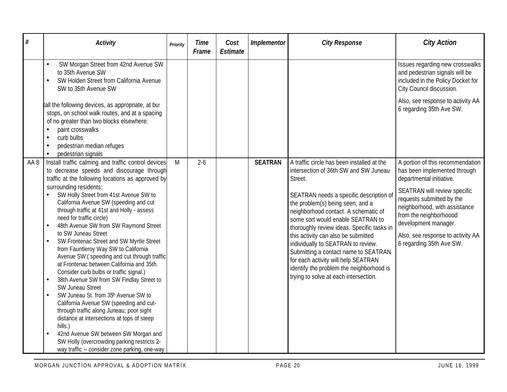| #    | <b>Activity</b>                                                                                                                                                                                                                                                                                                                                                                                                                                                                                                                                                                                                                                                                                                                                                                                                                                                                                                                                                                                                                                                                            | Priority | <b>Time</b><br>Frame | Cost<br>Estimate | Implementor    | <b>City Response</b>                                                                                                                                                                                                                                                                                                                                                                                                                                                                                                                                      | <b>City Action</b>                                                                                                                                                                                                                                                                                            |
|------|--------------------------------------------------------------------------------------------------------------------------------------------------------------------------------------------------------------------------------------------------------------------------------------------------------------------------------------------------------------------------------------------------------------------------------------------------------------------------------------------------------------------------------------------------------------------------------------------------------------------------------------------------------------------------------------------------------------------------------------------------------------------------------------------------------------------------------------------------------------------------------------------------------------------------------------------------------------------------------------------------------------------------------------------------------------------------------------------|----------|----------------------|------------------|----------------|-----------------------------------------------------------------------------------------------------------------------------------------------------------------------------------------------------------------------------------------------------------------------------------------------------------------------------------------------------------------------------------------------------------------------------------------------------------------------------------------------------------------------------------------------------------|---------------------------------------------------------------------------------------------------------------------------------------------------------------------------------------------------------------------------------------------------------------------------------------------------------------|
|      | SW Morgan Street from 42nd Avenue SW<br>$\bullet$<br>to 35th Avenue SW<br>SW Holden Street from California Avenue<br>$\bullet$<br>SW to 35th Avenue SW                                                                                                                                                                                                                                                                                                                                                                                                                                                                                                                                                                                                                                                                                                                                                                                                                                                                                                                                     |          |                      |                  |                |                                                                                                                                                                                                                                                                                                                                                                                                                                                                                                                                                           | Issues regarding new crosswalks<br>and pedestrian signals will be<br>included in the Policy Docket for<br>City Council discussion.                                                                                                                                                                            |
|      | tall the following devices, as appropriate, at bus<br>stops, on school walk routes, and at a spacing<br>of no greater than two blocks elsewhere:<br>paint crosswalks<br>curb bulbs<br>pedestrian median refuges<br>pedestrian signals<br>$\bullet$                                                                                                                                                                                                                                                                                                                                                                                                                                                                                                                                                                                                                                                                                                                                                                                                                                         |          |                      |                  |                |                                                                                                                                                                                                                                                                                                                                                                                                                                                                                                                                                           | Also, see response to activity AA<br>6 regarding 35th Ave SW.                                                                                                                                                                                                                                                 |
| AA 8 | Install traffic calming and traffic control devices<br>to decrease speeds and discourage through<br>traffic at the following locations as approved by<br>surrounding residents:<br>SW Holly Street from 41st Avenue SW to<br>California Avenue SW (speeding and cut<br>through traffic at 41st and Holly - assess<br>need for traffic circle)<br>48th Avenue SW from SW Raymond Street<br>to SW Juneau Street<br>SW Frontenac Street and SW Myrtle Street<br>$\bullet$<br>from Fauntleroy Way SW to California<br>Avenue SW (speeding and cut through traffic<br>at Frontenac between California and 35th.<br>Consider curb bulbs or traffic signal.)<br>38th Avenue SW from SW Findlay Street to<br>$\bullet$<br>SW Juneau Street<br>SW Juneau St. from 35 <sup>h</sup> Avenue SW to<br>$\bullet$<br>California Avenue SW (speeding and cut-<br>through traffic along Juneau; poor sight<br>distance at intersections at tops of steep<br>hills.)<br>42nd Avenue SW between SW Morgan and<br>SW Holly (overcrowding parking restricts 2-<br>way traffic -- consider zone parking, one-way | M        | $2 - 6$              |                  | <b>SEATRAN</b> | A traffic circle has been installed at the<br>intersection of 36th SW and SW Juneau<br>Street.<br>SEATRAN needs a specific description of<br>the problem(s) being seen, and a<br>neighborhood contact. A schematic of<br>some sort would enable SEATRAN to<br>thoroughly review ideas. Specific tasks in<br>this activity can also be submitted<br>individually to SEATRAN to review.<br>Submitting a contact name to SEATRAN<br>for each activity will help SEATRAN<br>identify the problem the neighborhood is<br>trying to solve at each intersection. | A portion of this recommendation<br>has been implemented through<br>departmental initiative.<br>SEATRAN will review specific<br>requests submitted by the<br>neighborhood, with assistance<br>from the neighborhoood<br>development manager.<br>Also, see response to activity AA<br>6 regarding 35th Ave SW. |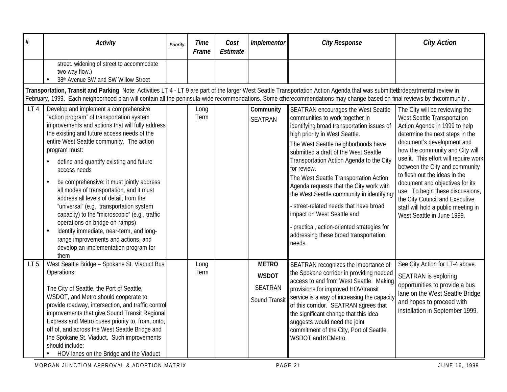| #               | <b>Activity</b>                                                                                                                                                                                                                                                                                                                                                                                                                                                                                                                                                                                                                                                                                                                                | Priority | <b>Time</b><br>Frame | Cost<br><b>Estimate</b> | Implementor                                                     | <b>City Response</b>                                                                                                                                                                                                                                                                                                                                                                                                                                                                                                                                                                                        | <b>City Action</b>                                                                                                                                                                                                                                                                                                                                                                                                                                                                           |
|-----------------|------------------------------------------------------------------------------------------------------------------------------------------------------------------------------------------------------------------------------------------------------------------------------------------------------------------------------------------------------------------------------------------------------------------------------------------------------------------------------------------------------------------------------------------------------------------------------------------------------------------------------------------------------------------------------------------------------------------------------------------------|----------|----------------------|-------------------------|-----------------------------------------------------------------|-------------------------------------------------------------------------------------------------------------------------------------------------------------------------------------------------------------------------------------------------------------------------------------------------------------------------------------------------------------------------------------------------------------------------------------------------------------------------------------------------------------------------------------------------------------------------------------------------------------|----------------------------------------------------------------------------------------------------------------------------------------------------------------------------------------------------------------------------------------------------------------------------------------------------------------------------------------------------------------------------------------------------------------------------------------------------------------------------------------------|
|                 | street. widening of street to accommodate<br>two-way flow.)<br>38th Avenue SW and SW Willow Street                                                                                                                                                                                                                                                                                                                                                                                                                                                                                                                                                                                                                                             |          |                      |                         |                                                                 |                                                                                                                                                                                                                                                                                                                                                                                                                                                                                                                                                                                                             |                                                                                                                                                                                                                                                                                                                                                                                                                                                                                              |
|                 | Transportation, Transit and Parking Note: Activities LT 4 - LT 9 are part of the larger West Seattle Transportation Action Agenda that was submittetbrdepartmental review in<br>February, 1999. Each neighborhood plan will contain all the peninsula-wide recommendations. Some offherecommendations may change based on final reviews by thecommunity.                                                                                                                                                                                                                                                                                                                                                                                       |          |                      |                         |                                                                 |                                                                                                                                                                                                                                                                                                                                                                                                                                                                                                                                                                                                             |                                                                                                                                                                                                                                                                                                                                                                                                                                                                                              |
| LT <sub>4</sub> | Develop and implement a comprehensive<br>"action program" of transportation system<br>improvements and actions that will fully address<br>the existing and future access needs of the<br>entire West Seattle community. The action<br>program must:<br>define and quantify existing and future<br>$\bullet$<br>access needs<br>be comprehensive: it must jointly address<br>all modes of transportation, and it must<br>address all levels of detail, from the<br>"universal" (e.g., transportation system<br>capacity) to the "microscopic" (e.g., traffic<br>operations on bridge on-ramps)<br>identify immediate, near-term, and long-<br>$\bullet$<br>range improvements and actions, and<br>develop an implementation program for<br>them |          | Long<br>Term         |                         | Community<br><b>SEATRAN</b>                                     | SEATRAN encourages the West Seattle<br>communities to work together in<br>identifying broad transportation issues of<br>high priority in West Seattle.<br>The West Seattle neighborhoods have<br>submitted a draft of the West Seattle<br>Transportation Action Agenda to the City<br>for review.<br>The West Seattle Transportation Action<br>Agenda requests that the City work with<br>the West Seattle community in identifying<br>- street-related needs that have broad<br>impact on West Seattle and<br>practical, action-oriented strategies for<br>addressing these broad transportation<br>needs. | The City will be reviewing the<br>West Seattle Transportation<br>Action Agenda in 1999 to help<br>determine the next steps in the<br>document's development and<br>how the community and City will<br>use it. This effort will require work<br>between the City and community<br>to flesh out the ideas in the<br>document and objectives for its<br>use. To begin these discussions,<br>the City Council and Executive<br>staff will hold a public meeting in<br>West Seattle in June 1999. |
| LT <sub>5</sub> | West Seattle Bridge - Spokane St. Viaduct Bus<br>Operations:<br>The City of Seattle, the Port of Seattle,<br>WSDOT, and Metro should cooperate to<br>provide roadway, intersection, and traffic control<br>improvements that give Sound Transit Regional<br>Express and Metro buses priority to, from, onto,<br>off of, and across the West Seattle Bridge and<br>the Spokane St. Viaduct. Such improvements<br>should include:<br>HOV lanes on the Bridge and the Viaduct                                                                                                                                                                                                                                                                     |          | Long<br>Term         |                         | <b>METRO</b><br><b>WSDOT</b><br><b>SEATRAN</b><br>Sound Transit | SEATRAN recognizes the importance of<br>the Spokane corridor in providing needed<br>access to and from West Seattle. Making<br>provisions for improved HOV/transit<br>service is a way of increasing the capacity<br>of this corridor. SEATRAN agrees that<br>the significant change that this idea<br>suggests would need the joint<br>commitment of the City, Port of Seattle,<br>WSDOT and KCMetro.                                                                                                                                                                                                      | See City Action for LT-4 above.<br><b>SEATRAN</b> is exploring<br>opportunities to provide a bus<br>lane on the West Seattle Bridge<br>and hopes to proceed with<br>installation in September 1999.                                                                                                                                                                                                                                                                                          |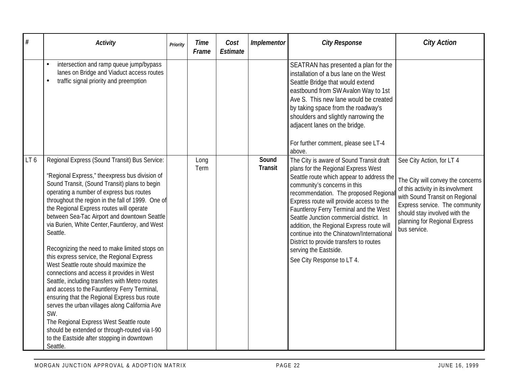| #   | <b>Activity</b>                                                                                                                                                                                                                                                                                                                                                                                                                                                                                                                                                                                                                                                                                                                                                                                                                                                                                                                                                      | Priority | Time<br>Frame | Cost<br>Estimate | Implementor             | <b>City Response</b>                                                                                                                                                                                                                                                                                                                                                                                                                                                                                                               | <b>City Action</b>                                                                                                                                                                                                                                         |
|-----|----------------------------------------------------------------------------------------------------------------------------------------------------------------------------------------------------------------------------------------------------------------------------------------------------------------------------------------------------------------------------------------------------------------------------------------------------------------------------------------------------------------------------------------------------------------------------------------------------------------------------------------------------------------------------------------------------------------------------------------------------------------------------------------------------------------------------------------------------------------------------------------------------------------------------------------------------------------------|----------|---------------|------------------|-------------------------|------------------------------------------------------------------------------------------------------------------------------------------------------------------------------------------------------------------------------------------------------------------------------------------------------------------------------------------------------------------------------------------------------------------------------------------------------------------------------------------------------------------------------------|------------------------------------------------------------------------------------------------------------------------------------------------------------------------------------------------------------------------------------------------------------|
|     | intersection and ramp queue jump/bypass<br>$\bullet$<br>lanes on Bridge and Viaduct access routes<br>traffic signal priority and preemption<br>$\bullet$                                                                                                                                                                                                                                                                                                                                                                                                                                                                                                                                                                                                                                                                                                                                                                                                             |          |               |                  |                         | SEATRAN has presented a plan for the<br>installation of a bus lane on the West<br>Seattle Bridge that would extend<br>eastbound from SW Avalon Way to 1st<br>Ave S. This new lane would be created<br>by taking space from the roadway's<br>shoulders and slightly narrowing the<br>adjacent lanes on the bridge.<br>For further comment, please see LT-4<br>above.                                                                                                                                                                |                                                                                                                                                                                                                                                            |
| LT6 | Regional Express (Sound Transit) Bus Service:<br>"Regional Express," the express bus division of<br>Sound Transit, (Sound Transit) plans to begin<br>operating a number of express bus routes<br>throughout the region in the fall of 1999. One of<br>the Regional Express routes will operate<br>between Sea-Tac Airport and downtown Seattle<br>via Burien, White Center, Fauntleroy, and West<br>Seattle.<br>Recognizing the need to make limited stops on<br>this express service, the Regional Express<br>West Seattle route should maximize the<br>connections and access it provides in West<br>Seattle, including transfers with Metro routes<br>and access to the Fauntleroy Ferry Terminal,<br>ensuring that the Regional Express bus route<br>serves the urban villages along California Ave<br>SW.<br>The Regional Express West Seattle route<br>should be extended or through-routed via I-90<br>to the Eastside after stopping in downtown<br>Seattle. |          | Long<br>Term  |                  | Sound<br><b>Transit</b> | The City is aware of Sound Transit draft<br>plans for the Regional Express West<br>Seattle route which appear to address the<br>community's concerns in this<br>recommendation. The proposed Regiona<br>Express route will provide access to the<br>Fauntleroy Ferry Terminal and the West<br>Seattle Junction commercial district. In<br>addition, the Regional Express route will<br>continue into the Chinatown/International<br>District to provide transfers to routes<br>serving the Eastside.<br>See City Response to LT 4. | See City Action, for LT 4<br>The City will convey the concerns<br>of this activity in its involvment<br>with Sound Transit on Regional<br>Express service. The community<br>should stay involved with the<br>planning for Regional Express<br>bus service. |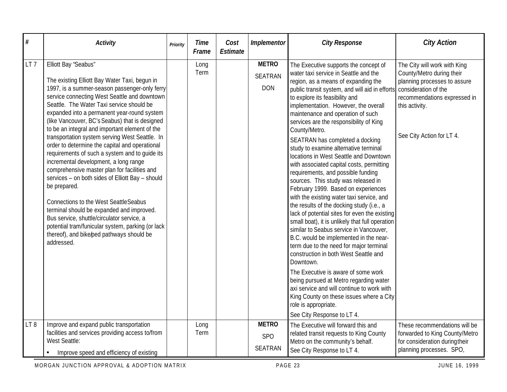| #               | <b>Activity</b>                                                                                                                                                                                                                                                                                                                                                                                                                                                                                                                                                                                                                                                                                                                                                                                                                                                                                                                                      | Priority | <b>Time</b><br>Frame | Cost<br><b>Estimate</b> | Implementor                                  | <b>City Response</b>                                                                                                                                                                                                                                                                                                                                                                                                                                                                                                                                                                                                                                                                                                                                                                                                                                                                                                                                                                                                                                                                                                                                                                                                                                           | <b>City Action</b>                                                                                                                                                                               |
|-----------------|------------------------------------------------------------------------------------------------------------------------------------------------------------------------------------------------------------------------------------------------------------------------------------------------------------------------------------------------------------------------------------------------------------------------------------------------------------------------------------------------------------------------------------------------------------------------------------------------------------------------------------------------------------------------------------------------------------------------------------------------------------------------------------------------------------------------------------------------------------------------------------------------------------------------------------------------------|----------|----------------------|-------------------------|----------------------------------------------|----------------------------------------------------------------------------------------------------------------------------------------------------------------------------------------------------------------------------------------------------------------------------------------------------------------------------------------------------------------------------------------------------------------------------------------------------------------------------------------------------------------------------------------------------------------------------------------------------------------------------------------------------------------------------------------------------------------------------------------------------------------------------------------------------------------------------------------------------------------------------------------------------------------------------------------------------------------------------------------------------------------------------------------------------------------------------------------------------------------------------------------------------------------------------------------------------------------------------------------------------------------|--------------------------------------------------------------------------------------------------------------------------------------------------------------------------------------------------|
| LT <sub>7</sub> | Elliott Bay 'Seabus"<br>The existing Elliott Bay Water Taxi, begun in<br>1997, is a summer-season passenger-only ferry<br>service connecting West Seattle and downtown<br>Seattle. The Water Taxi service should be<br>expanded into a permanent year-round system<br>(like Vancouver, BC's Seabus) that is designed<br>to be an integral and important element of the<br>transportation system serving West Seattle. In<br>order to determine the capital and operational<br>requirements of such a system and to quide its<br>incremental development, a long range<br>comprehensive master plan for facilities and<br>services - on both sides of Elliott Bay - should<br>be prepared.<br><b>Connections to the West SeattleSeabus</b><br>terminal should be expanded and improved.<br>Bus service, shuttle/circulator service, a<br>potential tram/funicular system, parking (or lack<br>thereof), and bike/ped pathways should be<br>addressed. |          | Long<br>Term         |                         | <b>METRO</b><br><b>SEATRAN</b><br><b>DON</b> | The Executive supports the concept of<br>water taxi service in Seattle and the<br>region, as a means of expanding the<br>public transit system, and will aid in efforts<br>to explore its feasibility and<br>implementation. However, the overall<br>maintenance and operation of such<br>services are the responsibility of King<br>County/Metro.<br>SEATRAN has completed a docking<br>study to examine alternative terminal<br>locations in West Seattle and Downtown<br>with associated capital costs, permitting<br>requirements, and possible funding<br>sources. This study was released in<br>February 1999. Based on experiences<br>with the existing water taxi service, and<br>the results of the docking study (i.e., a<br>lack of potential sites for even the existing<br>small boat), it is unlikely that full operation<br>similar to Seabus service in Vancouver,<br>B.C. would be implemented in the near-<br>term due to the need for major terminal<br>construction in both West Seattle and<br>Downtown.<br>The Executive is aware of some work<br>being pursued at Metro regarding water<br>axi service and will continue to work with<br>King County on these issues where a City<br>role is appropriate.<br>See City Response to LT 4. | The City will work with King<br>County/Metro during their<br>planning processes to assure<br>consideration of the<br>recommendations expressed in<br>this activity.<br>See City Action for LT 4. |
| LT8             | Improve and expand public transportation<br>facilities and services providing access to/from<br>West Seattle:<br>Improve speed and efficiency of existing                                                                                                                                                                                                                                                                                                                                                                                                                                                                                                                                                                                                                                                                                                                                                                                            |          | Long<br>Term         |                         | <b>METRO</b><br><b>SPO</b><br><b>SEATRAN</b> | The Executive will forward this and<br>related transit requests to King County<br>Metro on the community's behalf.<br>See City Response to LT 4.                                                                                                                                                                                                                                                                                                                                                                                                                                                                                                                                                                                                                                                                                                                                                                                                                                                                                                                                                                                                                                                                                                               | These recommendations will be<br>forwarded to King County/Metro<br>for consideration during their<br>planning processes. SPO,                                                                    |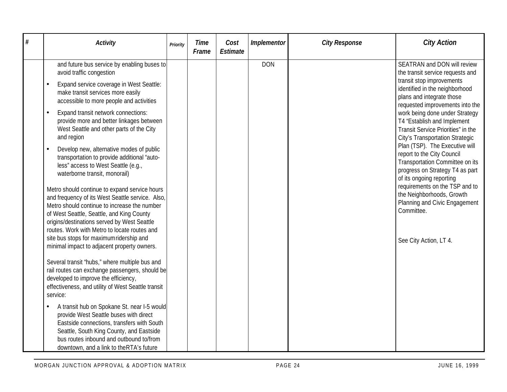| # | <b>Activity</b>                                                                                                                                                                                                                                                                               | Priority | Time<br>Frame | Cost<br>Estimate | Implementor | <b>City Response</b> | <b>City Action</b>                                                                                                                                             |
|---|-----------------------------------------------------------------------------------------------------------------------------------------------------------------------------------------------------------------------------------------------------------------------------------------------|----------|---------------|------------------|-------------|----------------------|----------------------------------------------------------------------------------------------------------------------------------------------------------------|
|   | and future bus service by enabling buses to<br>avoid traffic congestion                                                                                                                                                                                                                       |          |               |                  | <b>DON</b>  |                      | SEATRAN and DON will review<br>the transit service requests and                                                                                                |
|   | Expand service coverage in West Seattle:<br>make transit services more easily<br>accessible to more people and activities                                                                                                                                                                     |          |               |                  |             |                      | transit stop improvements<br>identified in the neighborhood<br>plans and integrate those<br>requested improvements into the                                    |
|   | Expand transit network connections:<br>$\bullet$<br>provide more and better linkages between<br>West Seattle and other parts of the City<br>and region                                                                                                                                        |          |               |                  |             |                      | work being done under Strategy<br>T4 "Establish and Implement<br>Transit Service Priorities" in the<br>City's Transportation Strategic                         |
|   | Develop new, alternative modes of public<br>transportation to provide additional "auto-<br>less" access to West Seattle (e.g.,<br>waterborne transit, monorail)                                                                                                                               |          |               |                  |             |                      | Plan (TSP). The Executive will<br>report to the City Council<br>Transportation Committee on its<br>progress on Strategy T4 as part<br>of its ongoing reporting |
|   | Metro should continue to expand service hours<br>and frequency of its West Seattle service. Also,<br>Metro should continue to increase the number<br>of West Seattle, Seattle, and King County<br>origins/destinations served by West Seattle<br>routes. Work with Metro to locate routes and |          |               |                  |             |                      | requirements on the TSP and to<br>the Neighborhoods, Growth<br>Planning and Civic Engagement<br>Committee.                                                     |
|   | site bus stops for maximumridership and<br>minimal impact to adjacent property owners.                                                                                                                                                                                                        |          |               |                  |             |                      | See City Action, LT 4.                                                                                                                                         |
|   | Several transit "hubs," where multiple bus and<br>rail routes can exchange passengers, should be<br>developed to improve the efficiency,<br>effectiveness, and utility of West Seattle transit<br>service:                                                                                    |          |               |                  |             |                      |                                                                                                                                                                |
|   | A transit hub on Spokane St. near I-5 would<br>provide West Seattle buses with direct<br>Eastside connections, transfers with South<br>Seattle, South King County, and Eastside<br>bus routes inbound and outbound to/from<br>downtown, and a link to theRTA's future                         |          |               |                  |             |                      |                                                                                                                                                                |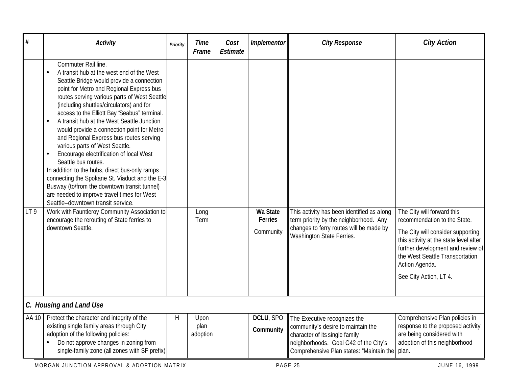| #     | <b>Activity</b>                                                                                                                                                                                                                                                                                                                                                                                                                                                                                                                                                                                                                                                                                                                                                                                                                                                                                                                         | Priority | Time<br>Frame            | Cost<br>Estimate | Implementor                      | <b>City Response</b>                                                                                                                                                                      | <b>City Action</b>                                                                                                                                                                                                                                            |  |  |  |  |
|-------|-----------------------------------------------------------------------------------------------------------------------------------------------------------------------------------------------------------------------------------------------------------------------------------------------------------------------------------------------------------------------------------------------------------------------------------------------------------------------------------------------------------------------------------------------------------------------------------------------------------------------------------------------------------------------------------------------------------------------------------------------------------------------------------------------------------------------------------------------------------------------------------------------------------------------------------------|----------|--------------------------|------------------|----------------------------------|-------------------------------------------------------------------------------------------------------------------------------------------------------------------------------------------|---------------------------------------------------------------------------------------------------------------------------------------------------------------------------------------------------------------------------------------------------------------|--|--|--|--|
| LT9   | Commuter Rail line.<br>A transit hub at the west end of the West<br>$\bullet$<br>Seattle Bridge would provide a connection<br>point for Metro and Regional Express bus<br>routes serving various parts of West Seattle<br>(including shuttles/circulators) and for<br>access to the Elliott Bay 'Seabus" terminal.<br>A transit hub at the West Seattle Junction<br>$\bullet$<br>would provide a connection point for Metro<br>and Regional Express bus routes serving<br>various parts of West Seattle.<br>Encourage electrification of local West<br>Seattle bus routes.<br>In addition to the hubs, direct bus-only ramps<br>connecting the Spokane St. Viaduct and the E-3<br>Busway (to/from the downtown transit tunnel)<br>are needed to improve travel times for West<br>Seattle-downtown transit service.<br>Work with Fauntleroy Community Association to<br>encourage the rerouting of State ferries to<br>downtown Seattle. |          | Long<br>Term             |                  | Wa State<br>Ferries<br>Community | This activity has been identified as along<br>term priority by the neighborhood. Any<br>changes to ferry routes will be made by<br>Washington State Ferries.                              | The City will forward this<br>recommendation to the State.<br>The City will consider supporting<br>this activity at the state level after<br>further development and review of<br>the West Seattle Transportation<br>Action Agenda.<br>See City Action, LT 4. |  |  |  |  |
|       | C. Housing and Land Use                                                                                                                                                                                                                                                                                                                                                                                                                                                                                                                                                                                                                                                                                                                                                                                                                                                                                                                 |          |                          |                  |                                  |                                                                                                                                                                                           |                                                                                                                                                                                                                                                               |  |  |  |  |
| AA 10 | Protect the character and integrity of the<br>existing single family areas through City<br>adoption of the following policies:<br>Do not approve changes in zoning from<br>single-family zone (all zones with SF prefix)                                                                                                                                                                                                                                                                                                                                                                                                                                                                                                                                                                                                                                                                                                                | H        | Upon<br>plan<br>adoption |                  | DCLU, SPO<br>Community           | The Executive recognizes the<br>community's desire to maintain the<br>character of its single family<br>neighborhoods. Goal G42 of the City's<br>Comprehensive Plan states: 'Maintain the | Comprehensive Plan policies in<br>response to the proposed activity<br>are being considered with<br>adoption of this neighborhood<br>plan.                                                                                                                    |  |  |  |  |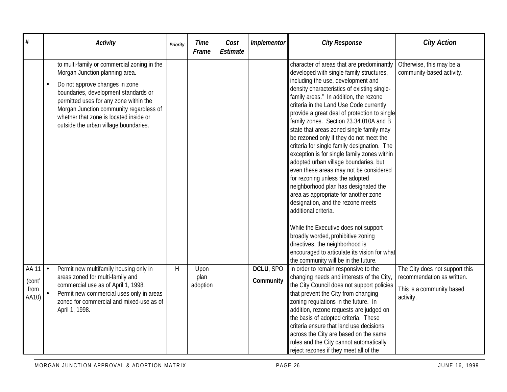| $\#$                             | <b>Activity</b>                                                                                                                                                                                                                                                                                                                 | Priority     | Time<br>Frame            | Cost<br>Estimate | Implementor            | <b>City Response</b>                                                                                                                                                                                                                                                                                                                                                                                                                                                                                                                                                                                                                                                                                                                                                                                                                                                                                                                                                                                                       | <b>City Action</b>                                                                                     |
|----------------------------------|---------------------------------------------------------------------------------------------------------------------------------------------------------------------------------------------------------------------------------------------------------------------------------------------------------------------------------|--------------|--------------------------|------------------|------------------------|----------------------------------------------------------------------------------------------------------------------------------------------------------------------------------------------------------------------------------------------------------------------------------------------------------------------------------------------------------------------------------------------------------------------------------------------------------------------------------------------------------------------------------------------------------------------------------------------------------------------------------------------------------------------------------------------------------------------------------------------------------------------------------------------------------------------------------------------------------------------------------------------------------------------------------------------------------------------------------------------------------------------------|--------------------------------------------------------------------------------------------------------|
|                                  | to multi-family or commercial zoning in the<br>Morgan Junction planning area.<br>Do not approve changes in zone<br>boundaries, development standards or<br>permitted uses for any zone within the<br>Morgan Junction community regardless of<br>whether that zone is located inside or<br>outside the urban village boundaries. |              |                          |                  |                        | character of areas that are predominantly<br>developed with single family structures,<br>including the use, development and<br>density characteristics of existing single-<br>family areas." In addition, the rezone<br>criteria in the Land Use Code currently<br>provide a great deal of protection to single<br>family zones. Section 23.34.010A and B<br>state that areas zoned single family may<br>be rezoned only if they do not meet the<br>criteria for single family designation. The<br>exception is for single family zones within<br>adopted urban village boundaries, but<br>even these areas may not be considered<br>for rezoning unless the adopted<br>neighborhood plan has designated the<br>area as appropriate for another zone<br>designation, and the rezone meets<br>additional criteria.<br>While the Executive does not support<br>broadly worded, prohibitive zoning<br>directives, the neighborhood is<br>encouraged to articulate its vision for what<br>the community will be in the future. | Otherwise, this may be a<br>community-based activity.                                                  |
| AA 11<br>(cont'<br>from<br>AA10) | $\bullet$<br>Permit new multifamily housing only in<br>areas zoned for multi-family and<br>commercial use as of April 1, 1998.<br>Permit new commercial uses only in areas<br>$\bullet$<br>zoned for commercial and mixed-use as of<br>April 1, 1998.                                                                           | $\mathsf{H}$ | Upon<br>plan<br>adoption |                  | DCLU, SPO<br>Community | In order to remain responsive to the<br>changing needs and interests of the City,<br>the City Council does not support policies<br>that prevent the City from changing<br>zoning regulations in the future. In<br>addition, rezone requests are judged on<br>the basis of adopted criteria. These<br>criteria ensure that land use decisions<br>across the City are based on the same<br>rules and the City cannot automatically<br>reject rezones if they meet all of the                                                                                                                                                                                                                                                                                                                                                                                                                                                                                                                                                 | The City does not support this<br>recommendation as written.<br>This is a community based<br>activity. |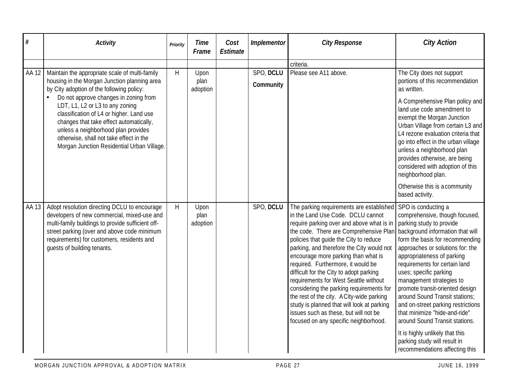| #     | <b>Activity</b>                                                                                                                                                                                                                                                                                 | Priority | <b>Time</b><br>Frame     | Cost<br><b>Estimate</b> | <i>Implementor</i>     | <b>City Response</b>                                                                                                                                                                                                                                                                                                                                                                                                                                                                                                                                                                                                                                  | <b>City Action</b>                                                                                                                                                                                                                                                                                                                                                                                                                                                                                                                                                                                   |
|-------|-------------------------------------------------------------------------------------------------------------------------------------------------------------------------------------------------------------------------------------------------------------------------------------------------|----------|--------------------------|-------------------------|------------------------|-------------------------------------------------------------------------------------------------------------------------------------------------------------------------------------------------------------------------------------------------------------------------------------------------------------------------------------------------------------------------------------------------------------------------------------------------------------------------------------------------------------------------------------------------------------------------------------------------------------------------------------------------------|------------------------------------------------------------------------------------------------------------------------------------------------------------------------------------------------------------------------------------------------------------------------------------------------------------------------------------------------------------------------------------------------------------------------------------------------------------------------------------------------------------------------------------------------------------------------------------------------------|
|       |                                                                                                                                                                                                                                                                                                 |          |                          |                         |                        | criteria.                                                                                                                                                                                                                                                                                                                                                                                                                                                                                                                                                                                                                                             |                                                                                                                                                                                                                                                                                                                                                                                                                                                                                                                                                                                                      |
| AA 12 | Maintain the appropriate scale of multi-family<br>housing in the Morgan Junction planning area<br>by City adoption of the following policy:                                                                                                                                                     | H        | Upon<br>plan<br>adoption |                         | SPO, DCLU<br>Community | Please see A11 above.                                                                                                                                                                                                                                                                                                                                                                                                                                                                                                                                                                                                                                 | The City does not support<br>portions of this recommendation<br>as written.                                                                                                                                                                                                                                                                                                                                                                                                                                                                                                                          |
|       | Do not approve changes in zoning from<br>LDT, L1, L2 or L3 to any zoning<br>classification of L4 or higher. Land use<br>changes that take effect automatically,<br>unless a neighborhood plan provides<br>otherwise, shall not take effect in the<br>Morgan Junction Residential Urban Village. |          |                          |                         |                        |                                                                                                                                                                                                                                                                                                                                                                                                                                                                                                                                                                                                                                                       | A Comprehensive Plan policy and<br>land use code amendment to<br>exempt the Morgan Junction<br>Urban Village from certain L3 and<br>L4 rezone evaluation criteria that<br>go into effect in the urban village<br>unless a neighborhood plan<br>provides otherwise, are being<br>considered with adoption of this<br>neighborhood plan.<br>Otherwise this is a community<br>based activity.                                                                                                                                                                                                           |
| AA 13 | Adopt resolution directing DCLU to encourage<br>developers of new commercial, mixed-use and<br>multi-family buildings to provide sufficient off-<br>street parking (over and above code minimum<br>requirements) for customers, residents and<br>quests of building tenants.                    | H        | Upon<br>plan<br>adoption |                         | SPO, DCLU              | The parking requirements are established<br>in the Land Use Code. DCLU cannot<br>require parking over and above what is in<br>the code. There are Comprehensive Plan<br>policies that guide the City to reduce<br>parking, and therefore the City would not<br>encourage more parking than what is<br>required. Furthermore, it would be<br>difficult for the City to adopt parking<br>requirements for West Seattle without<br>considering the parking requirements for<br>the rest of the city. A City-wide parking<br>study is planned that will look at parking<br>issues such as these, but will not be<br>focused on any specific neighborhood. | SPO is conducting a<br>comprehensive, though focused,<br>parking study to provide<br>background information that will<br>form the basis for recommending<br>approaches or solutions for: the<br>appropriateness of parking<br>requirements for certain land<br>uses; specific parking<br>management strategies to<br>promote transit-oriented design<br>around Sound Transit stations;<br>and on-street parking restrictions<br>that minimize "hide-and-ride"<br>around Sound Transit stations.<br>It is highly unlikely that this<br>parking study will result in<br>recommendations affecting this |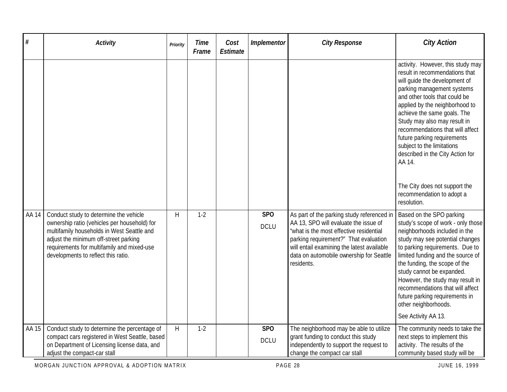| $\#$  | <b>Activity</b>                                                                                                                                                                                                                                                    | Priority | <b>Time</b><br>Frame | Cost<br><b>Estimate</b> | Implementor                    | <b>City Response</b>                                                                                                                                                                                                                                                            | <b>City Action</b>                                                                                                                                                                                                                                                                                                                                                                                                                                                                               |
|-------|--------------------------------------------------------------------------------------------------------------------------------------------------------------------------------------------------------------------------------------------------------------------|----------|----------------------|-------------------------|--------------------------------|---------------------------------------------------------------------------------------------------------------------------------------------------------------------------------------------------------------------------------------------------------------------------------|--------------------------------------------------------------------------------------------------------------------------------------------------------------------------------------------------------------------------------------------------------------------------------------------------------------------------------------------------------------------------------------------------------------------------------------------------------------------------------------------------|
|       |                                                                                                                                                                                                                                                                    |          |                      |                         |                                |                                                                                                                                                                                                                                                                                 | activity. However, this study may<br>result in recommendations that<br>will quide the development of<br>parking management systems<br>and other tools that could be<br>applied by the neighborhood to<br>achieve the same goals. The<br>Study may also may result in<br>recommendations that will affect<br>future parking requirements<br>subject to the limitations<br>described in the City Action for<br>AA 14.<br>The City does not support the<br>recommendation to adopt a<br>resolution. |
| AA 14 | Conduct study to determine the vehicle<br>ownership ratio (vehicles per household) for<br>multifamily households in West Seattle and<br>adjust the minimum off-street parking<br>requirements for multifamily and mixed-use<br>developments to reflect this ratio. | H        | $1-2$                |                         | SP <sub>O</sub><br><b>DCLU</b> | As part of the parking study referenced in<br>AA 13, SPO will evaluate the issue of<br>"what is the most effective residential<br>parking requirement?" That evaluation<br>will entail examining the latest available<br>data on automobile ownership for Seattle<br>residents. | Based on the SPO parking<br>study's scope of work - only those<br>neighborhoods included in the<br>study may see potential changes<br>to parking requirements. Due to<br>limited funding and the source of<br>the funding, the scope of the<br>study cannot be expanded.<br>However, the study may result in<br>recommendations that will affect<br>future parking requirements in<br>other neighborhoods.<br>See Activity AA 13.                                                                |
| AA 15 | Conduct study to determine the percentage of<br>compact cars registered in West Seattle, based<br>on Department of Licensing license data, and<br>adjust the compact-car stall                                                                                     | H        | $1 - 2$              |                         | <b>SPO</b><br><b>DCLU</b>      | The neighborhood may be able to utilize<br>grant funding to conduct this study<br>independently to support the request to<br>change the compact car stall                                                                                                                       | The community needs to take the<br>next steps to implement this<br>activity. The results of the<br>community based study will be                                                                                                                                                                                                                                                                                                                                                                 |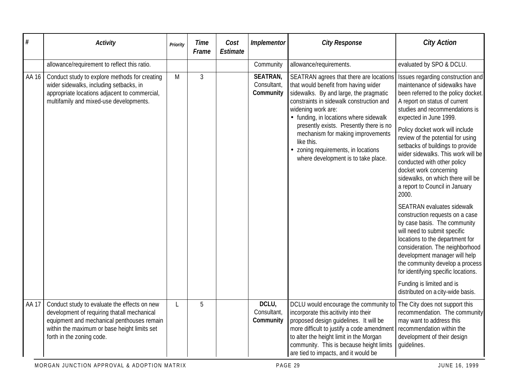| #            | <b>Activity</b>                                                                                                                                                                                                        | Priority | <b>Time</b><br>Frame | Cost<br>Estimate | Implementor                          | <b>City Response</b>                                                                                                                                                                                                                                                                                                                                                                                              | <b>City Action</b>                                                                                                                                                                                                                                                                                                                                                                                                                                                                                                                                                                                                                                                                                                                                                                                                                                                                    |
|--------------|------------------------------------------------------------------------------------------------------------------------------------------------------------------------------------------------------------------------|----------|----------------------|------------------|--------------------------------------|-------------------------------------------------------------------------------------------------------------------------------------------------------------------------------------------------------------------------------------------------------------------------------------------------------------------------------------------------------------------------------------------------------------------|---------------------------------------------------------------------------------------------------------------------------------------------------------------------------------------------------------------------------------------------------------------------------------------------------------------------------------------------------------------------------------------------------------------------------------------------------------------------------------------------------------------------------------------------------------------------------------------------------------------------------------------------------------------------------------------------------------------------------------------------------------------------------------------------------------------------------------------------------------------------------------------|
|              | allowance/requirement to reflect this ratio.                                                                                                                                                                           |          |                      |                  | Community                            | allowance/requirements.                                                                                                                                                                                                                                                                                                                                                                                           | evaluated by SPO & DCLU.                                                                                                                                                                                                                                                                                                                                                                                                                                                                                                                                                                                                                                                                                                                                                                                                                                                              |
| AA 16        | Conduct study to explore methods for creating<br>wider sidewalks, including setbacks, in<br>appropriate locations adjacent to commercial,<br>multifamily and mixed-use developments.                                   | M        | 3                    |                  | SEATRAN,<br>Consultant,<br>Community | SEATRAN agrees that there are locations<br>that would benefit from having wider<br>sidewalks. By and large, the pragmatic<br>constraints in sidewalk construction and<br>widening work are:<br>• funding, in locations where sidewalk<br>presently exists. Presently there is no<br>mechanism for making improvements<br>like this.<br>• zoning requirements, in locations<br>where development is to take place. | Issues regarding construction and<br>maintenance of sidewalks have<br>been referred to the policy docket.<br>A report on status of current<br>studies and recommendations is<br>expected in June 1999.<br>Policy docket work will include<br>review of the potential for using<br>setbacks of buildings to provide<br>wider sidewalks. This work will be<br>conducted with other policy<br>docket work concerning<br>sidewalks, on which there will be<br>a report to Council in January<br>2000.<br>SEATRAN evaluates sidewalk<br>construction requests on a case<br>by case basis. The community<br>will need to submit specific<br>locations to the department for<br>consideration. The neighborhood<br>development manager will help<br>the community develop a process<br>for identifying specific locations.<br>Funding is limited and is<br>distributed on a city-wide basis. |
| <b>AA 17</b> | Conduct study to evaluate the effects on new<br>development of requiring thatall mechanical<br>equipment and mechanical penthouses remain<br>within the maximum or base height limits set<br>forth in the zoning code. |          | 5                    |                  | DCLU,<br>Consultant,<br>Community    | DCLU would encourage the community to<br>incorporate this acitivity into their<br>proposed design guidelines. It will be<br>more difficult to justify a code amendment<br>to alter the height limit in the Morgan<br>community. This is because height limits<br>are tied to impacts, and it would be                                                                                                             | The City does not support this<br>recommendation. The community<br>may want to address this<br>recommendation within the<br>development of their design<br>quidelines.                                                                                                                                                                                                                                                                                                                                                                                                                                                                                                                                                                                                                                                                                                                |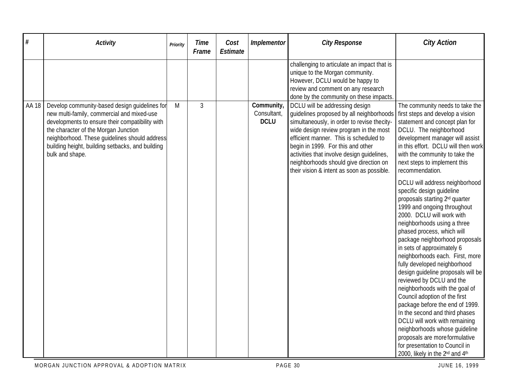| #     | <b>Activity</b>                                                                                                                                                                                                                                                                                                | Priority | <b>Time</b><br>Frame | Cost<br>Estimate | Implementor                              | <b>City Response</b>                                                                                                                                                                                                                                                                                                                                                                     | <b>City Action</b>                                                                                                                                                                                                                                                                                                                                                                                                                                                                                                                                                                                                                                                                                                                                                                                                                                                                                                                                                                                                                                                                 |
|-------|----------------------------------------------------------------------------------------------------------------------------------------------------------------------------------------------------------------------------------------------------------------------------------------------------------------|----------|----------------------|------------------|------------------------------------------|------------------------------------------------------------------------------------------------------------------------------------------------------------------------------------------------------------------------------------------------------------------------------------------------------------------------------------------------------------------------------------------|------------------------------------------------------------------------------------------------------------------------------------------------------------------------------------------------------------------------------------------------------------------------------------------------------------------------------------------------------------------------------------------------------------------------------------------------------------------------------------------------------------------------------------------------------------------------------------------------------------------------------------------------------------------------------------------------------------------------------------------------------------------------------------------------------------------------------------------------------------------------------------------------------------------------------------------------------------------------------------------------------------------------------------------------------------------------------------|
|       |                                                                                                                                                                                                                                                                                                                |          |                      |                  |                                          | challenging to articulate an impact that is<br>unique to the Morgan community.<br>However, DCLU would be happy to<br>review and comment on any research<br>done by the community on these impacts.                                                                                                                                                                                       |                                                                                                                                                                                                                                                                                                                                                                                                                                                                                                                                                                                                                                                                                                                                                                                                                                                                                                                                                                                                                                                                                    |
| AA 18 | Develop community-based design guidelines for<br>new multi-family, commercial and mixed-use<br>developments to ensure their compatibility with<br>the character of the Morgan Junction<br>neighborhood. These guidelines should address<br>building height, building setbacks, and building<br>bulk and shape. | M        | 3                    |                  | Community,<br>Consultant,<br><b>DCLU</b> | DCLU will be addressing design<br>quidelines proposed by all neighborhoods<br>simultaneously, in order to revise thecity-<br>wide design review program in the most<br>efficient manner. This is scheduled to<br>begin in 1999. For this and other<br>activities that involve design guidelines,<br>neighborhoods should give direction on<br>their vision & intent as soon as possible. | The community needs to take the<br>first steps and develop a vision<br>statement and concept plan for<br>DCLU. The neighborhood<br>development manager will assist<br>in this effort. DCLU will then work<br>with the community to take the<br>next steps to implement this<br>recommendation.<br>DCLU will address neighborhood<br>specific design guideline<br>proposals starting 2 <sup>nd</sup> quarter<br>1999 and ongoing throughout<br>2000. DCLU will work with<br>neighborhoods using a three<br>phased process, which will<br>package neighborhood proposals<br>in sets of approximately 6<br>neighborhoods each. First, more<br>fully developed neighborhood<br>design guideline proposals will be<br>reviewed by DCLU and the<br>neighborhoods with the goal of<br>Council adoption of the first<br>package before the end of 1999.<br>In the second and third phases<br>DCLU will work with remaining<br>neighborhoods whose guideline<br>proposals are more formulative<br>for presentation to Council in<br>2000, likely in the 2 <sup>nd</sup> and 4 <sup>th</sup> |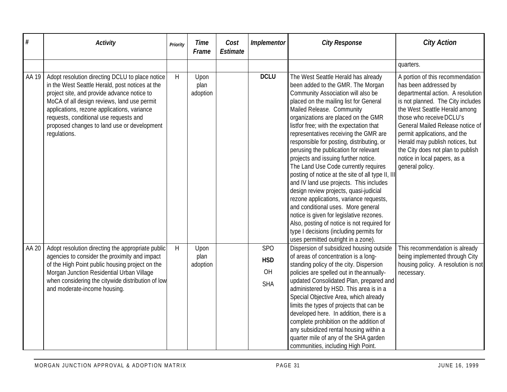| $\#$  | <b>Activity</b>                                                                                                                                                                                                                                                                                                                                          | Priority | <b>Time</b><br>Frame     | Cost<br><b>Estimate</b> | Implementor                                  | <b>City Response</b>                                                                                                                                                                                                                                                                                                                                                                                                                                                                                                                                                                                                                                                                                                                                                                                                                                                                           | <b>City Action</b>                                                                                                                                                                                                                                                                                                                                                                              |
|-------|----------------------------------------------------------------------------------------------------------------------------------------------------------------------------------------------------------------------------------------------------------------------------------------------------------------------------------------------------------|----------|--------------------------|-------------------------|----------------------------------------------|------------------------------------------------------------------------------------------------------------------------------------------------------------------------------------------------------------------------------------------------------------------------------------------------------------------------------------------------------------------------------------------------------------------------------------------------------------------------------------------------------------------------------------------------------------------------------------------------------------------------------------------------------------------------------------------------------------------------------------------------------------------------------------------------------------------------------------------------------------------------------------------------|-------------------------------------------------------------------------------------------------------------------------------------------------------------------------------------------------------------------------------------------------------------------------------------------------------------------------------------------------------------------------------------------------|
|       |                                                                                                                                                                                                                                                                                                                                                          |          |                          |                         |                                              |                                                                                                                                                                                                                                                                                                                                                                                                                                                                                                                                                                                                                                                                                                                                                                                                                                                                                                | quarters.                                                                                                                                                                                                                                                                                                                                                                                       |
| AA 19 | Adopt resolution directing DCLU to place notice<br>in the West Seattle Herald, post notices at the<br>project site, and provide advance notice to<br>MoCA of all design reviews, land use permit<br>applications, rezone applications, variance<br>requests, conditional use requests and<br>proposed changes to land use or development<br>regulations. | H        | Upon<br>plan<br>adoption |                         | <b>DCLU</b>                                  | The West Seattle Herald has already<br>been added to the GMR. The Morgan<br>Community Association will also be<br>placed on the mailing list for General<br>Mailed Release. Community<br>organizations are placed on the GMR<br>listfor free; with the expectation that<br>representatives receiving the GMR are<br>responsible for posting, distributing, or<br>perusing the publication for relevant<br>projects and issuing further notice.<br>The Land Use Code currently requires<br>posting of notice at the site of all type II, III<br>and IV land use projects. This includes<br>design review projects, quasi-judicial<br>rezone applications, variance requests,<br>and conditional uses. More general<br>notice is given for legislative rezones.<br>Also, posting of notice is not required for<br>type I decisions (including permits for<br>uses permitted outright in a zone). | A portion of this recommendation<br>has been addressed by<br>departmental action. A resolution<br>is not planned. The City includes<br>the West Seattle Herald among<br>those who receive DCLU's<br>General Mailed Release notice of<br>permit applications, and the<br>Herald may publish notices, but<br>the City does not plan to publish<br>notice in local papers, as a<br>general policy. |
| AA 20 | Adopt resolution directing the appropriate public<br>agencies to consider the proximity and impact<br>of the High Point public housing project on the<br>Morgan Junction Residential Urban Village<br>when considering the citywide distribution of low<br>and moderate-income housing.                                                                  | H        | Upon<br>plan<br>adoption |                         | <b>SPO</b><br><b>HSD</b><br>OH<br><b>SHA</b> | Dispersion of subsidized housing outside<br>of areas of concentration is a long-<br>standing policy of the city. Dispersion<br>policies are spelled out in the annually-<br>updated Consolidated Plan, prepared and<br>administered by HSD. This area is in a<br>Special Objective Area, which already<br>limits the types of projects that can be<br>developed here. In addition, there is a<br>complete prohibition on the addition of<br>any subsidized rental housing within a<br>quarter mile of any of the SHA garden<br>communities, including High Point.                                                                                                                                                                                                                                                                                                                              | This recommendation is already<br>being implemented through City<br>housing policy. A resolution is not<br>necessary.                                                                                                                                                                                                                                                                           |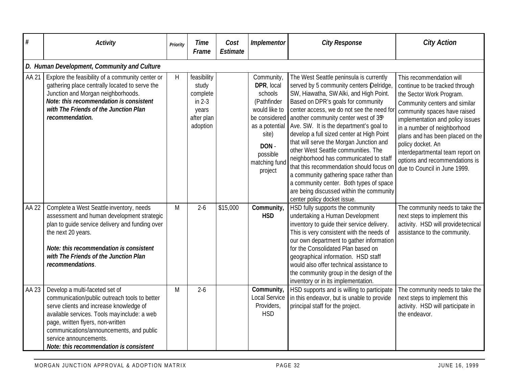| $\#$  | <b>Activity</b>                                                                                                                                                                                                                                                                                                                  | Priority | <b>Time</b><br>Frame                                                            | Cost<br>Estimate | <b>Implementor</b>                                                                                                            | <b>City Response</b>                                                                                                                                                                                                                                                                                                                                                                                                                                                                                                                                                                                                                                                                                                    | <b>City Action</b>                                                                                                                                                                                                                                                                                                                                                                        |  |  |  |  |  |
|-------|----------------------------------------------------------------------------------------------------------------------------------------------------------------------------------------------------------------------------------------------------------------------------------------------------------------------------------|----------|---------------------------------------------------------------------------------|------------------|-------------------------------------------------------------------------------------------------------------------------------|-------------------------------------------------------------------------------------------------------------------------------------------------------------------------------------------------------------------------------------------------------------------------------------------------------------------------------------------------------------------------------------------------------------------------------------------------------------------------------------------------------------------------------------------------------------------------------------------------------------------------------------------------------------------------------------------------------------------------|-------------------------------------------------------------------------------------------------------------------------------------------------------------------------------------------------------------------------------------------------------------------------------------------------------------------------------------------------------------------------------------------|--|--|--|--|--|
|       | D. Human Development, Community and Culture                                                                                                                                                                                                                                                                                      |          |                                                                                 |                  |                                                                                                                               |                                                                                                                                                                                                                                                                                                                                                                                                                                                                                                                                                                                                                                                                                                                         |                                                                                                                                                                                                                                                                                                                                                                                           |  |  |  |  |  |
| AA 21 | Explore the feasibility of a community center or<br>gathering place centrally located to serve the<br>Junction and Morgan neighborhoods.<br>Note: this recommendation is consistent<br>with The Friends of the Junction Plan<br>recommendation.                                                                                  | H        | feasibility<br>study<br>complete<br>in $2-3$<br>years<br>after plan<br>adoption |                  | Community,<br>DPR, local<br>schools<br>(Pathfinder<br>would like to<br>site)<br>DON -<br>possible<br>matching fund<br>project | The West Seattle peninsula is currently<br>served by 5 community centers Delridge,<br>SW, Hiawatha, SW Alki, and High Point.<br>Based on DPR's goals for community<br>center access, we do not see the need for<br>be considered another community center west of $35h$<br>as a potential Ave. SW. It is the department's goal to<br>develop a full sized center at High Point<br>that will serve the Morgan Junction and<br>other West Seattle communities. The<br>neighborhood has communicated to staff<br>that this recommendation should focus on<br>a community gathering space rather than<br>a community center. Both types of space<br>are being discussed within the community<br>center policy docket issue. | This recommendation will<br>continue to be tracked through<br>the Sector Work Program.<br>Community centers and similar<br>community spaces have raised<br>implementation and policy issues<br>in a number of neighborhood<br>plans and has been placed on the<br>policy docket. An<br>interdepartmental team report on<br>options and recommendations is<br>due to Council in June 1999. |  |  |  |  |  |
| AA 22 | Complete a West Seattle inventory, needs<br>assessment and human development strategic<br>plan to guide service delivery and funding over<br>the next 20 years.<br>Note: this recommendation is consistent<br>with The Friends of the Junction Plan<br>recommendations.                                                          | M        | $2 - 6$                                                                         | \$15,000         | Community,<br><b>HSD</b>                                                                                                      | HSD fully supports the community<br>undertaking a Human Development<br>inventory to guide their service delivery.<br>This is very consistent with the needs of<br>our own department to gather information<br>for the Consolidated Plan based on<br>geographical information. HSD staff<br>would also offer technical assistance to<br>the community group in the design of the<br>inventory or in its implementation.                                                                                                                                                                                                                                                                                                  | The community needs to take the<br>next steps to implement this<br>activity. HSD will providetecnical<br>assistance to the community.                                                                                                                                                                                                                                                     |  |  |  |  |  |
| AA 23 | Develop a multi-faceted set of<br>communication/public outreach tools to better<br>serve clients and increase knowledge of<br>available services. Tools may include: a web<br>page, written flyers, non-written<br>communications/announcements, and public<br>service announcements.<br>Note: this recommendation is consistent | M        | $2 - 6$                                                                         |                  | Community,<br>Local Service<br>Providers,<br><b>HSD</b>                                                                       | HSD supports and is willing to participate<br>in this endeavor, but is unable to provide<br>principal staff for the project.                                                                                                                                                                                                                                                                                                                                                                                                                                                                                                                                                                                            | The community needs to take the<br>next steps to implement this<br>activity. HSD will participate in<br>the endeavor.                                                                                                                                                                                                                                                                     |  |  |  |  |  |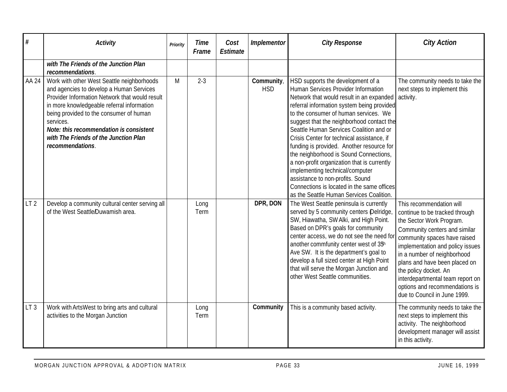| #               | <b>Activity</b>                                                                                                                                                                                                                                                                                                                                        | Priority | <b>Time</b><br>Frame | Cost<br><b>Estimate</b> | Implementor              | <b>City Response</b>                                                                                                                                                                                                                                                                                                                                                                                                                                                                                                                                                                                                                                     | <b>City Action</b>                                                                                                                                                                                                                                                                                                                                                                         |
|-----------------|--------------------------------------------------------------------------------------------------------------------------------------------------------------------------------------------------------------------------------------------------------------------------------------------------------------------------------------------------------|----------|----------------------|-------------------------|--------------------------|----------------------------------------------------------------------------------------------------------------------------------------------------------------------------------------------------------------------------------------------------------------------------------------------------------------------------------------------------------------------------------------------------------------------------------------------------------------------------------------------------------------------------------------------------------------------------------------------------------------------------------------------------------|--------------------------------------------------------------------------------------------------------------------------------------------------------------------------------------------------------------------------------------------------------------------------------------------------------------------------------------------------------------------------------------------|
|                 | with The Friends of the Junction Plan<br>recommendations.                                                                                                                                                                                                                                                                                              |          |                      |                         |                          |                                                                                                                                                                                                                                                                                                                                                                                                                                                                                                                                                                                                                                                          |                                                                                                                                                                                                                                                                                                                                                                                            |
| AA 24           | Work with other West Seattle neighborhoods<br>and agencies to develop a Human Services<br>Provider Information Network that would result<br>in more knowledgeable referral information<br>being provided to the consumer of human<br>services.<br>Note: this recommendation is consistent<br>with The Friends of the Junction Plan<br>recommendations. | M        | $2 - 3$              |                         | Community,<br><b>HSD</b> | HSD supports the development of a<br>Human Services Provider Information<br>Network that would result in an expanded<br>referral information system being provided<br>to the consumer of human services. We<br>suggest that the neighborhood contact the<br>Seattle Human Services Coalition and or<br>Crisis Center for technical assistance, if<br>funding is provided. Another resource for<br>the neighborhood is Sound Connections,<br>a non-profit organization that is currently<br>implementing technical/computer<br>assistance to non-profits. Sound<br>Connections is located in the same offices<br>as the Seattle Human Services Coalition. | The community needs to take the<br>next steps to implement this<br>activity.                                                                                                                                                                                                                                                                                                               |
| LT <sub>2</sub> | Develop a community cultural center serving all<br>of the West Seattle/Duwamish area.                                                                                                                                                                                                                                                                  |          | Long<br>Term         |                         | DPR, DON                 | The West Seattle peninsula is currently<br>served by 5 community centers Delridge,<br>SW, Hiawatha, SW Alki, and High Point.<br>Based on DPR's goals for community<br>center access, we do not see the need for<br>another commfunity center west of 35h<br>Ave SW. It is the department's goal to<br>develop a full sized center at High Point<br>that will serve the Morgan Junction and<br>other West Seattle communities.                                                                                                                                                                                                                            | This recommendation will<br>continue to be tracked through<br>the Sector Work Program.<br>Community centers and similar<br>community spaces have raised<br>implementation and policy issues<br>in a number of neighborhood<br>plans and have been placed on<br>the policy docket. An<br>interdepartmental team report on<br>options and recommendations is<br>due to Council in June 1999. |
| LT <sub>3</sub> | Work with ArtsWest to bring arts and cultural<br>activities to the Morgan Junction                                                                                                                                                                                                                                                                     |          | Long<br>Term         |                         | Community                | This is a community based activity.                                                                                                                                                                                                                                                                                                                                                                                                                                                                                                                                                                                                                      | The community needs to take the<br>next steps to implement this<br>activity. The neighborhood<br>development manager will assist<br>in this activity.                                                                                                                                                                                                                                      |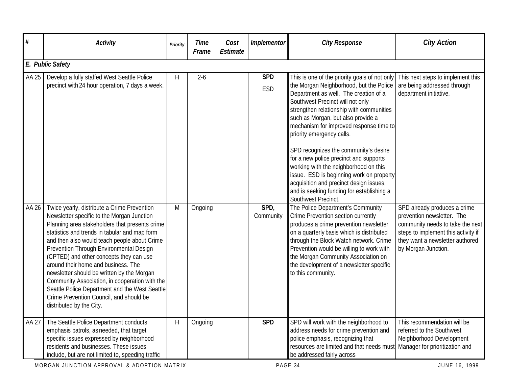|       |                                                                                                                                                                                                                                                                                                                                                                                                                                                                                                                                                                                                    |              | Frame   | Estimate |                   | <b>City Response</b>                                                                                                                                                                                                                                                                                                                                                                                                                                                                                                                                                                                                   | <b>City Action</b>                                                                                                                                                                              |  |  |  |  |  |
|-------|----------------------------------------------------------------------------------------------------------------------------------------------------------------------------------------------------------------------------------------------------------------------------------------------------------------------------------------------------------------------------------------------------------------------------------------------------------------------------------------------------------------------------------------------------------------------------------------------------|--------------|---------|----------|-------------------|------------------------------------------------------------------------------------------------------------------------------------------------------------------------------------------------------------------------------------------------------------------------------------------------------------------------------------------------------------------------------------------------------------------------------------------------------------------------------------------------------------------------------------------------------------------------------------------------------------------------|-------------------------------------------------------------------------------------------------------------------------------------------------------------------------------------------------|--|--|--|--|--|
|       | E. Public Safety                                                                                                                                                                                                                                                                                                                                                                                                                                                                                                                                                                                   |              |         |          |                   |                                                                                                                                                                                                                                                                                                                                                                                                                                                                                                                                                                                                                        |                                                                                                                                                                                                 |  |  |  |  |  |
| AA 25 | Develop a fully staffed West Seattle Police<br>precinct with 24 hour operation, 7 days a week.                                                                                                                                                                                                                                                                                                                                                                                                                                                                                                     | Н            | $2 - 6$ |          | <b>SPD</b><br>ESD | This is one of the priority goals of not only<br>the Morgan Neighborhood, but the Police<br>Department as well. The creation of a<br>Southwest Precinct will not only<br>strengthen relationship with communities<br>such as Morgan, but also provide a<br>mechanism for improved response time to<br>priority emergency calls.<br>SPD recognizes the community's desire<br>for a new police precinct and supports<br>working with the neighborhood on this<br>issue. ESD is beginning work on property<br>acquisition and precinct design issues,<br>and is seeking funding for establishing a<br>Southwest Precinct. | This next steps to implement this<br>are being addressed through<br>department initiative.                                                                                                      |  |  |  |  |  |
| AA 26 | Twice yearly, distribute a Crime Prevention<br>Newsletter specific to the Morgan Junction<br>Planning area stakeholders that presents crime<br>statistics and trends in tabular and map form<br>and then also would teach people about Crime<br>Prevention Through Environmental Design<br>(CPTED) and other concepts they can use<br>around their home and business. The<br>newsletter should be written by the Morgan<br>Community Association, in cooperation with the<br>Seattle Police Department and the West Seattle<br>Crime Prevention Council, and should be<br>distributed by the City. | M            | Ongoing |          | SPD,<br>Community | The Police Department's Community<br>Crime Prevention section currently<br>produces a crime prevention newsletter<br>on a quarterly basis which is distributed<br>through the Block Watch network. Crime<br>Prevention would be willing to work with<br>the Morgan Community Association on<br>the development of a newsletter specific<br>to this community.                                                                                                                                                                                                                                                          | SPD already produces a crime<br>prevention newsletter. The<br>community needs to take the next<br>steps to implement this activity if<br>they want a newsletter authored<br>by Morgan Junction. |  |  |  |  |  |
| AA 27 | The Seattle Police Department conducts<br>emphasis patrols, as needed, that target<br>specific issues expressed by neighborhood<br>residents and businesses. These issues<br>include, but are not limited to, speeding traffic<br>MORGAN JUNCTION APPROVAL & ADOPTION MATRIX                                                                                                                                                                                                                                                                                                                       | $\mathsf{H}$ | Ongoing |          | <b>SPD</b>        | SPD will work with the neighborhood to<br>address needs for crime prevention and<br>police emphasis, recognizing that<br>resources are limited and that needs must<br>be addressed fairly across<br>PAGE 34                                                                                                                                                                                                                                                                                                                                                                                                            | This recommendation will be<br>referred to the Southwest<br>Neighborhood Development<br>Manager for prioritization and<br>JUNE 16, 1999                                                         |  |  |  |  |  |